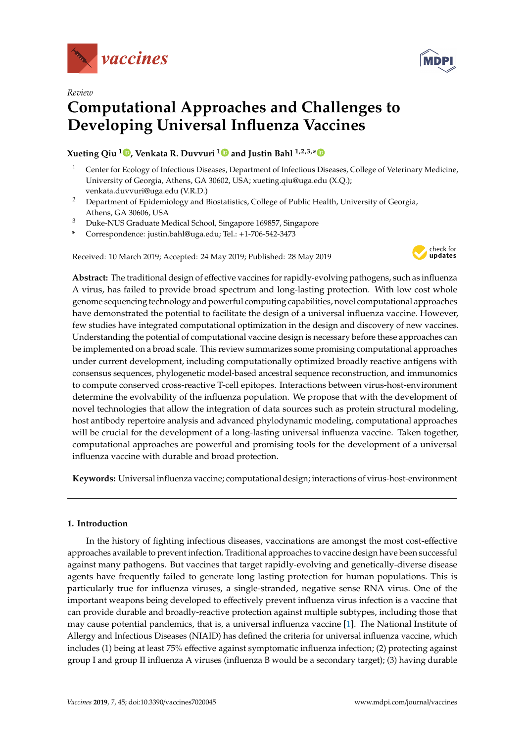



# *Review* **Computational Approaches and Challenges to Developing Universal Influenza Vaccines**

# **Xueting Qiu <sup>1</sup> [,](https://orcid.org/0000-0001-6810-7304) Venkata R. Duvvuri [1](https://orcid.org/0000-0001-7356-338X) and Justin Bahl 1,2,3,[\\*](https://orcid.org/0000-0001-7572-4300)**

- <sup>1</sup> Center for Ecology of Infectious Diseases, Department of Infectious Diseases, College of Veterinary Medicine, University of Georgia, Athens, GA 30602, USA; xueting.qiu@uga.edu (X.Q.); venkata.duvvuri@uga.edu (V.R.D.)
- <sup>2</sup> Department of Epidemiology and Biostatistics, College of Public Health, University of Georgia, Athens, GA 30606, USA
- <sup>3</sup> Duke-NUS Graduate Medical School, Singapore 169857, Singapore
- **\*** Correspondence: justin.bahl@uga.edu; Tel.: +1-706-542-3473

Received: 10 March 2019; Accepted: 24 May 2019; Published: 28 May 2019



**Abstract:** The traditional design of effective vaccines for rapidly-evolving pathogens, such as influenza A virus, has failed to provide broad spectrum and long-lasting protection. With low cost whole genome sequencing technology and powerful computing capabilities, novel computational approaches have demonstrated the potential to facilitate the design of a universal influenza vaccine. However, few studies have integrated computational optimization in the design and discovery of new vaccines. Understanding the potential of computational vaccine design is necessary before these approaches can be implemented on a broad scale. This review summarizes some promising computational approaches under current development, including computationally optimized broadly reactive antigens with consensus sequences, phylogenetic model-based ancestral sequence reconstruction, and immunomics to compute conserved cross-reactive T-cell epitopes. Interactions between virus-host-environment determine the evolvability of the influenza population. We propose that with the development of novel technologies that allow the integration of data sources such as protein structural modeling, host antibody repertoire analysis and advanced phylodynamic modeling, computational approaches will be crucial for the development of a long-lasting universal influenza vaccine. Taken together, computational approaches are powerful and promising tools for the development of a universal influenza vaccine with durable and broad protection.

**Keywords:** Universal influenza vaccine; computational design; interactions of virus-host-environment

# **1. Introduction**

In the history of fighting infectious diseases, vaccinations are amongst the most cost-effective approaches available to prevent infection. Traditional approaches to vaccine design have been successful against many pathogens. But vaccines that target rapidly-evolving and genetically-diverse disease agents have frequently failed to generate long lasting protection for human populations. This is particularly true for influenza viruses, a single-stranded, negative sense RNA virus. One of the important weapons being developed to effectively prevent influenza virus infection is a vaccine that can provide durable and broadly-reactive protection against multiple subtypes, including those that may cause potential pandemics, that is, a universal influenza vaccine [\[1\]](#page-15-0). The National Institute of Allergy and Infectious Diseases (NIAID) has defined the criteria for universal influenza vaccine, which includes (1) being at least 75% effective against symptomatic influenza infection; (2) protecting against group I and group II influenza A viruses (influenza B would be a secondary target); (3) having durable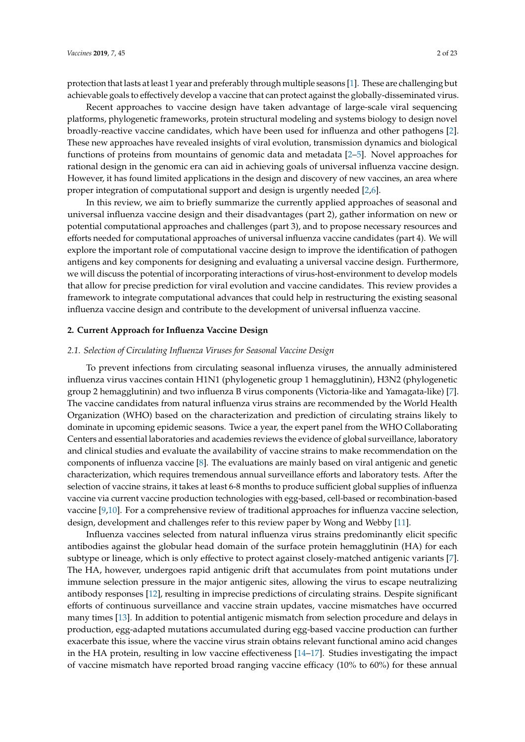protection that lasts at least 1 year and preferably through multiple seasons [\[1\]](#page-15-0). These are challenging but achievable goals to effectively develop a vaccine that can protect against the globally-disseminated virus.

Recent approaches to vaccine design have taken advantage of large-scale viral sequencing platforms, phylogenetic frameworks, protein structural modeling and systems biology to design novel broadly-reactive vaccine candidates, which have been used for influenza and other pathogens [\[2\]](#page-15-1). These new approaches have revealed insights of viral evolution, transmission dynamics and biological functions of proteins from mountains of genomic data and metadata [\[2–](#page-15-1)[5\]](#page-15-2). Novel approaches for rational design in the genomic era can aid in achieving goals of universal influenza vaccine design. However, it has found limited applications in the design and discovery of new vaccines, an area where proper integration of computational support and design is urgently needed [\[2](#page-15-1)[,6\]](#page-15-3).

In this review, we aim to briefly summarize the currently applied approaches of seasonal and universal influenza vaccine design and their disadvantages (part 2), gather information on new or potential computational approaches and challenges (part 3), and to propose necessary resources and efforts needed for computational approaches of universal influenza vaccine candidates (part 4). We will explore the important role of computational vaccine design to improve the identification of pathogen antigens and key components for designing and evaluating a universal vaccine design. Furthermore, we will discuss the potential of incorporating interactions of virus-host-environment to develop models that allow for precise prediction for viral evolution and vaccine candidates. This review provides a framework to integrate computational advances that could help in restructuring the existing seasonal influenza vaccine design and contribute to the development of universal influenza vaccine.

#### **2. Current Approach for Influenza Vaccine Design**

#### *2.1. Selection of Circulating Influenza Viruses for Seasonal Vaccine Design*

To prevent infections from circulating seasonal influenza viruses, the annually administered influenza virus vaccines contain H1N1 (phylogenetic group 1 hemagglutinin), H3N2 (phylogenetic group 2 hemagglutinin) and two influenza B virus components (Victoria-like and Yamagata-like) [\[7\]](#page-15-4). The vaccine candidates from natural influenza virus strains are recommended by the World Health Organization (WHO) based on the characterization and prediction of circulating strains likely to dominate in upcoming epidemic seasons. Twice a year, the expert panel from the WHO Collaborating Centers and essential laboratories and academies reviews the evidence of global surveillance, laboratory and clinical studies and evaluate the availability of vaccine strains to make recommendation on the components of influenza vaccine [\[8\]](#page-15-5). The evaluations are mainly based on viral antigenic and genetic characterization, which requires tremendous annual surveillance efforts and laboratory tests. After the selection of vaccine strains, it takes at least 6-8 months to produce sufficient global supplies of influenza vaccine via current vaccine production technologies with egg-based, cell-based or recombination-based vaccine [\[9,](#page-15-6)[10\]](#page-15-7). For a comprehensive review of traditional approaches for influenza vaccine selection, design, development and challenges refer to this review paper by Wong and Webby [\[11\]](#page-15-8).

Influenza vaccines selected from natural influenza virus strains predominantly elicit specific antibodies against the globular head domain of the surface protein hemagglutinin (HA) for each subtype or lineage, which is only effective to protect against closely-matched antigenic variants [\[7\]](#page-15-4). The HA, however, undergoes rapid antigenic drift that accumulates from point mutations under immune selection pressure in the major antigenic sites, allowing the virus to escape neutralizing antibody responses [\[12\]](#page-15-9), resulting in imprecise predictions of circulating strains. Despite significant efforts of continuous surveillance and vaccine strain updates, vaccine mismatches have occurred many times [\[13\]](#page-15-10). In addition to potential antigenic mismatch from selection procedure and delays in production, egg-adapted mutations accumulated during egg-based vaccine production can further exacerbate this issue, where the vaccine virus strain obtains relevant functional amino acid changes in the HA protein, resulting in low vaccine effectiveness [\[14](#page-15-11)[–17\]](#page-16-0). Studies investigating the impact of vaccine mismatch have reported broad ranging vaccine efficacy (10% to 60%) for these annual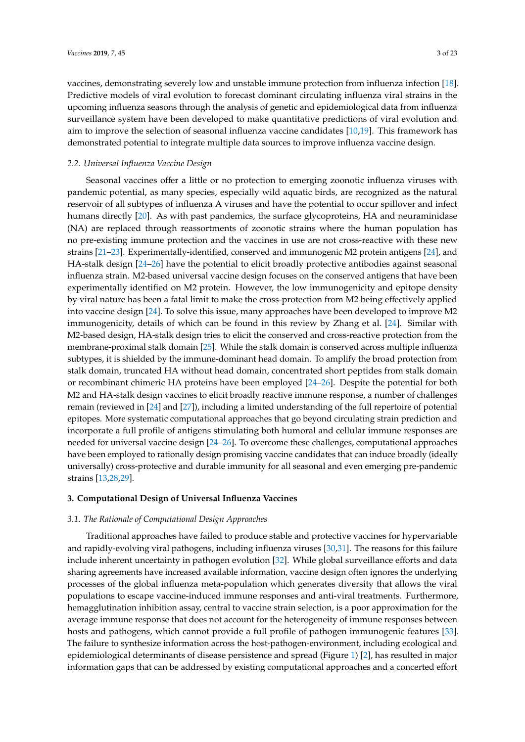vaccines, demonstrating severely low and unstable immune protection from influenza infection [\[18\]](#page-16-1). Predictive models of viral evolution to forecast dominant circulating influenza viral strains in the upcoming influenza seasons through the analysis of genetic and epidemiological data from influenza surveillance system have been developed to make quantitative predictions of viral evolution and aim to improve the selection of seasonal influenza vaccine candidates [\[10](#page-15-7)[,19\]](#page-16-2). This framework has demonstrated potential to integrate multiple data sources to improve influenza vaccine design.

## *2.2. Universal Influenza Vaccine Design*

Seasonal vaccines offer a little or no protection to emerging zoonotic influenza viruses with pandemic potential, as many species, especially wild aquatic birds, are recognized as the natural reservoir of all subtypes of influenza A viruses and have the potential to occur spillover and infect humans directly [\[20\]](#page-16-3). As with past pandemics, the surface glycoproteins, HA and neuraminidase (NA) are replaced through reassortments of zoonotic strains where the human population has no pre-existing immune protection and the vaccines in use are not cross-reactive with these new strains [\[21](#page-16-4)[–23\]](#page-16-5). Experimentally-identified, conserved and immunogenic M2 protein antigens [\[24\]](#page-16-6), and HA-stalk design [\[24–](#page-16-6)[26\]](#page-16-7) have the potential to elicit broadly protective antibodies against seasonal influenza strain. M2-based universal vaccine design focuses on the conserved antigens that have been experimentally identified on M2 protein. However, the low immunogenicity and epitope density by viral nature has been a fatal limit to make the cross-protection from M2 being effectively applied into vaccine design [\[24\]](#page-16-6). To solve this issue, many approaches have been developed to improve M2 immunogenicity, details of which can be found in this review by Zhang et al. [\[24\]](#page-16-6). Similar with M2-based design, HA-stalk design tries to elicit the conserved and cross-reactive protection from the membrane-proximal stalk domain [\[25\]](#page-16-8). While the stalk domain is conserved across multiple influenza subtypes, it is shielded by the immune-dominant head domain. To amplify the broad protection from stalk domain, truncated HA without head domain, concentrated short peptides from stalk domain or recombinant chimeric HA proteins have been employed [\[24–](#page-16-6)[26\]](#page-16-7). Despite the potential for both M2 and HA-stalk design vaccines to elicit broadly reactive immune response, a number of challenges remain (reviewed in [\[24\]](#page-16-6) and [\[27\]](#page-16-9)), including a limited understanding of the full repertoire of potential epitopes. More systematic computational approaches that go beyond circulating strain prediction and incorporate a full profile of antigens stimulating both humoral and cellular immune responses are needed for universal vaccine design [\[24](#page-16-6)[–26\]](#page-16-7). To overcome these challenges, computational approaches have been employed to rationally design promising vaccine candidates that can induce broadly (ideally universally) cross-protective and durable immunity for all seasonal and even emerging pre-pandemic strains [\[13,](#page-15-10)[28,](#page-16-10)[29\]](#page-16-11).

#### **3. Computational Design of Universal Influenza Vaccines**

#### *3.1. The Rationale of Computational Design Approaches*

Traditional approaches have failed to produce stable and protective vaccines for hypervariable and rapidly-evolving viral pathogens, including influenza viruses [\[30](#page-16-12)[,31\]](#page-16-13). The reasons for this failure include inherent uncertainty in pathogen evolution [\[32\]](#page-16-14). While global surveillance efforts and data sharing agreements have increased available information, vaccine design often ignores the underlying processes of the global influenza meta-population which generates diversity that allows the viral populations to escape vaccine-induced immune responses and anti-viral treatments. Furthermore, hemagglutination inhibition assay, central to vaccine strain selection, is a poor approximation for the average immune response that does not account for the heterogeneity of immune responses between hosts and pathogens, which cannot provide a full profile of pathogen immunogenic features [\[33\]](#page-16-15). The failure to synthesize information across the host-pathogen-environment, including ecological and epidemiological determinants of disease persistence and spread (Figure [1\)](#page-3-0) [\[2\]](#page-15-1), has resulted in major information gaps that can be addressed by existing computational approaches and a concerted effort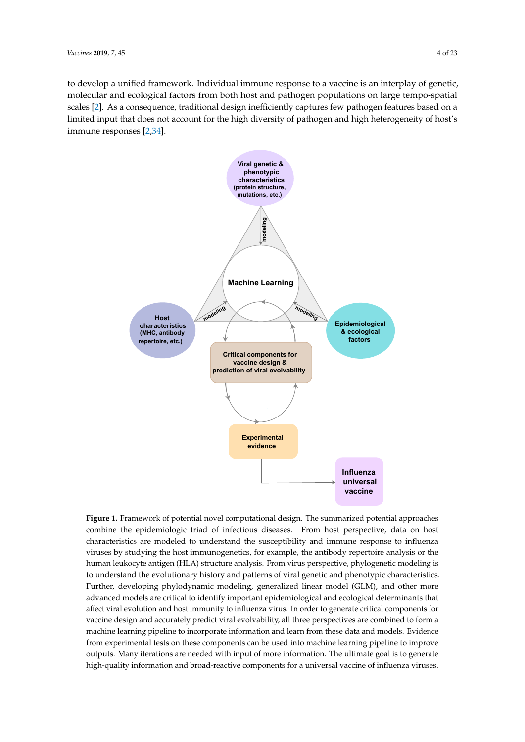to develop a unified framework. Individual immune response to a vaccine is an interplay of genetic, molecular and ecological factors from both host and pathogen populations on large tempo-spatial scales [\[2\]](#page-15-1). As a consequence, traditional design inefficiently captures few pathogen features based on a limited input that does not account for the high diversity of pathogen and high heterogeneity of host's immune responses  $[2,34]$  $[2,34]$ .

<span id="page-3-0"></span>

**Figure 1.** Framework of potential novel computational design. The summarized potential approaches **Figure 1.** Framework of potential novel computational design. The summarized potential approaches combine the epidemiologic triad of infectious diseases. From host perspective, data on host characteristics are modeled to understand the susceptibility and immune response to influenza viruses by studying the host immunogenetics, for example, the antibody repertoire analysis or the human leukocyte antigen (HLA) structure analysis. From virus perspective, phylogenetic modeling is to understand the evolutionary history and patterns of viral genetic and phenotypic characteristics. developing phylodynamic modeling, generalized linear model (GLM), and other more advanced by the advanced function of the more advanced linear model (GLM), and other more model (SEN), are critical to identify included and the color control of the color advanced models are critical to identify important epidemiological and ecological determinants that affect viral evolution and host immunity to influenza virus. In order to generate critical components for vaccine design and accurately predict viral evolvability, all three perspectives are combined to form a machine learning pipeline to incorporate information and learn from these data and models. Evidence from experimental tests on these components can be used into machine learning pipeline to improve outputs. Many iterations are needed with input of more information. The ultimate goal is to generate high-quality information and broad-reactive components for a universal vaccine of influenza viruses.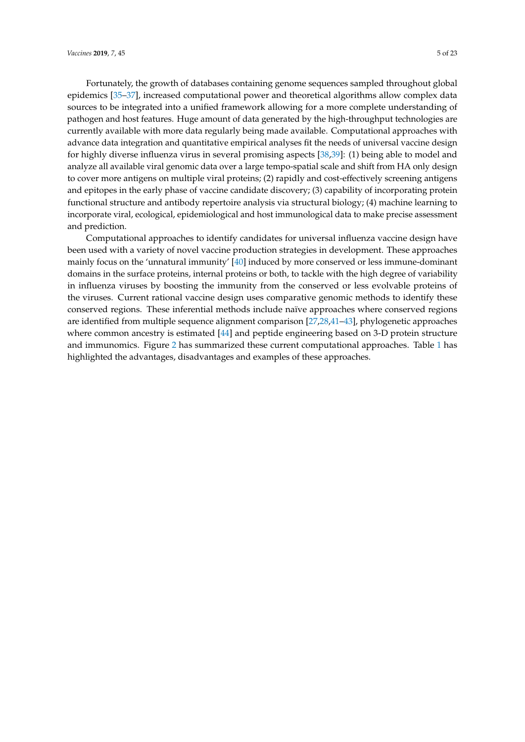Fortunately, the growth of databases containing genome sequences sampled throughout global epidemics [\[35–](#page-16-17)[37\]](#page-17-0), increased computational power and theoretical algorithms allow complex data sources to be integrated into a unified framework allowing for a more complete understanding of pathogen and host features. Huge amount of data generated by the high-throughput technologies are currently available with more data regularly being made available. Computational approaches with advance data integration and quantitative empirical analyses fit the needs of universal vaccine design for highly diverse influenza virus in several promising aspects [\[38](#page-17-1)[,39\]](#page-17-2): (1) being able to model and analyze all available viral genomic data over a large tempo-spatial scale and shift from HA only design to cover more antigens on multiple viral proteins; (2) rapidly and cost-effectively screening antigens and epitopes in the early phase of vaccine candidate discovery; (3) capability of incorporating protein functional structure and antibody repertoire analysis via structural biology; (4) machine learning to incorporate viral, ecological, epidemiological and host immunological data to make precise assessment and prediction.

Computational approaches to identify candidates for universal influenza vaccine design have been used with a variety of novel vaccine production strategies in development. These approaches mainly focus on the 'unnatural immunity' [\[40\]](#page-17-3) induced by more conserved or less immune-dominant domains in the surface proteins, internal proteins or both, to tackle with the high degree of variability in influenza viruses by boosting the immunity from the conserved or less evolvable proteins of the viruses. Current rational vaccine design uses comparative genomic methods to identify these conserved regions. These inferential methods include naïve approaches where conserved regions are identified from multiple sequence alignment comparison [\[27,](#page-16-9)[28,](#page-16-10)[41](#page-17-4)[–43\]](#page-17-5), phylogenetic approaches where common ancestry is estimated [\[44\]](#page-17-6) and peptide engineering based on 3-D protein structure and immunomics. Figure [2](#page-6-0) has summarized these current computational approaches. Table [1](#page-5-0) has highlighted the advantages, disadvantages and examples of these approaches.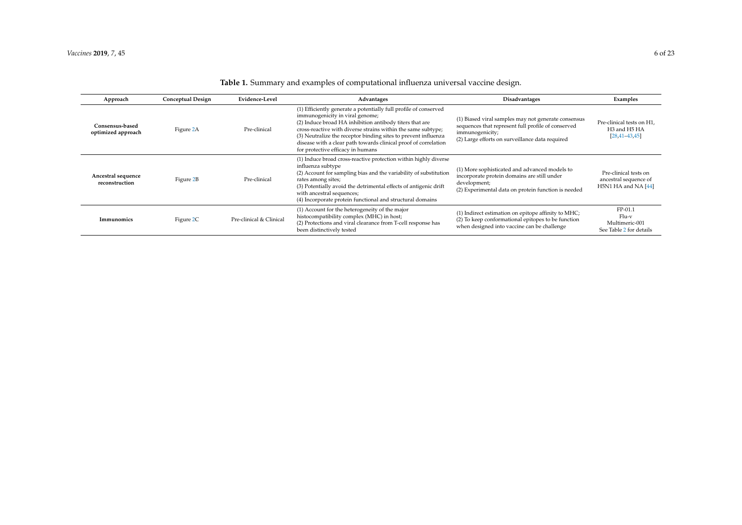<span id="page-5-0"></span>

| Approach                              | <b>Conceptual Design</b> | Evidence-Level          | Advantages                                                                                                                                                                                                                                                                                                                                                                                               | <b>Disadvantages</b>                                                                                                                                                            | Examples                                                                                             |
|---------------------------------------|--------------------------|-------------------------|----------------------------------------------------------------------------------------------------------------------------------------------------------------------------------------------------------------------------------------------------------------------------------------------------------------------------------------------------------------------------------------------------------|---------------------------------------------------------------------------------------------------------------------------------------------------------------------------------|------------------------------------------------------------------------------------------------------|
| Consensus-based<br>optimized approach | Figure 2A                | Pre-clinical            | (1) Efficiently generate a potentially full profile of conserved<br>immunogenicity in viral genome;<br>(2) Induce broad HA inhibition antibody titers that are<br>cross-reactive with diverse strains within the same subtype;<br>(3) Neutralize the receptor binding sites to prevent influenza<br>disease with a clear path towards clinical proof of correlation<br>for protective efficacy in humans | (1) Biased viral samples may not generate consensus<br>sequences that represent full profile of conserved<br>immunogenicity;<br>(2) Large efforts on surveillance data required | Pre-clinical tests on H1,<br>H <sub>3</sub> and H <sub>5</sub> H <sub>A</sub><br>$[28, 41 - 43, 45]$ |
| Ancestral sequence<br>reconstruction  | Figure 2B                | Pre-clinical            | (1) Induce broad cross-reactive protection within highly diverse<br>influenza subtype<br>(2) Account for sampling bias and the variability of substitution<br>rates among sites;<br>(3) Potentially avoid the detrimental effects of antigenic drift<br>with ancestral sequences;<br>(4) Incorporate protein functional and structural domains                                                           | (1) More sophisticated and advanced models to<br>incorporate protein domains are still under<br>development;<br>(2) Experimental data on protein function is needed             | Pre-clinical tests on<br>ancestral sequence of<br>H5N1 HA and NA [44]                                |
| Immunomics                            | Figure 2C                | Pre-clinical & Clinical | (1) Account for the heterogeneity of the major<br>histocompatibility complex (MHC) in host;<br>(2) Protections and viral clearance from T-cell response has<br>been distinctively tested                                                                                                                                                                                                                 | (1) Indirect estimation on epitope affinity to MHC;<br>(2) To keep conformational epitopes to be function<br>when designed into vaccine can be challenge                        | $FP-01.1$<br>$Flu-v$<br>Multimeric-001<br>See Table 2 for details                                    |

# **Table 1.** Summary and examples of computational influenza universal vaccine design.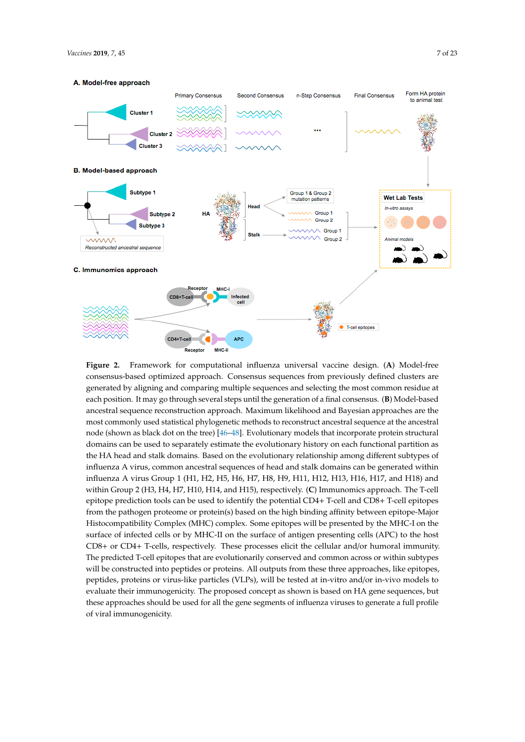<span id="page-6-1"></span><span id="page-6-0"></span>

Figure 2. **A**  $\frac{1}{2}$  Model-free  $\frac{1}{2}$   $\frac{1}{2}$  Framework for computational vaccine design. (**A**) Model-free most common residue at generated by aligning and comparing multiple sequences and selecting the most commo each position. It may go through several steps until the generation of a final consensus. (**B**) Model-based ancestral sequence reconstruction approach. Maximum likelihood and Bayesian approaches are the most commonly used statistical phylogenetic methods to reconstruct ancestral sequence at the ancestral node (shown as black dot on the tree) [ $46-48$ ]. Evolutionary models that incorporate protein structural domains can be used to separately estimate the evolutionary history on each functional partition as the HA head and stalk domains. Based on the evolutionary relationship among different subtypes of influenza A virus, common ancestral sequences of head and stalk domains can be generated within influenza A virus Group 1 (H1, H2, H5, H6, H7, H8, H9, H11, H12, H13, H16, H17, and H18) and within Group 2 (H3, H4, H7, H10, H14, and H15), respectively. (C) Immunomics approach. The T-cell epitope prediction tools can be used to identify the potential CD4+ T-cell and CD8+ T-cell epitopes from the pathogen proteome or protein(s) based on the high binding affinity between epitope-Major Histocompatibility Complex (MHC) complex. Some epitopes will be presented by the MHC-I on the surface of infected cells or by MHC-II on the surface of antigen presenting cells (APC) to the host CD8+ or CD4+ T-cells, respectively. These processes elicit the cellular and/or humoral immunity. The predicted T-cell epitopes that are evolutionarily conserved and common across or within subtypes will be constructed into peptides or proteins. All outputs from these three approaches, like epitopes, peptides, proteins or virus-like particles (VLPs), will be tested at in-vitro and/or in-vivo models to evaluate their immunogenicity. The proposed concept as shown is based on HA gene sequences, but these approaches should be used for all the gene segments of influenza viruses to generate a full profile of viral immunogenicity. **Figure 2.** Framework for computational influenza universal vaccine design. (**A**) Model-free consensus-based optimized approach. Consensus sequences from previously defined clusters are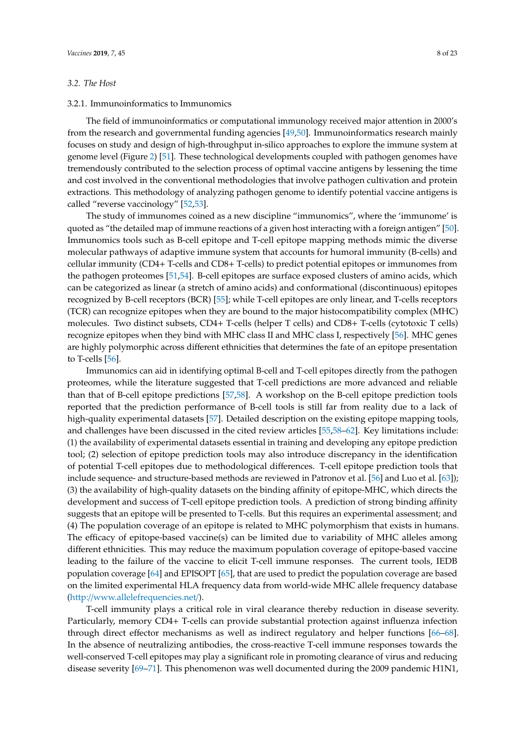#### *3.2. The Host*

## 3.2.1. Immunoinformatics to Immunomics

The field of immunoinformatics or computational immunology received major attention in 2000's from the research and governmental funding agencies [\[49,](#page-17-13)[50\]](#page-17-14). Immunoinformatics research mainly focuses on study and design of high-throughput in-silico approaches to explore the immune system at genome level (Figure [2\)](#page-6-0) [\[51\]](#page-17-15). These technological developments coupled with pathogen genomes have tremendously contributed to the selection process of optimal vaccine antigens by lessening the time and cost involved in the conventional methodologies that involve pathogen cultivation and protein extractions. This methodology of analyzing pathogen genome to identify potential vaccine antigens is called "reverse vaccinology" [\[52,](#page-17-16)[53\]](#page-17-17).

The study of immunomes coined as a new discipline "immunomics", where the 'immunome' is quoted as "the detailed map of immune reactions of a given host interacting with a foreign antigen" [\[50\]](#page-17-14). Immunomics tools such as B-cell epitope and T-cell epitope mapping methods mimic the diverse molecular pathways of adaptive immune system that accounts for humoral immunity (B-cells) and cellular immunity (CD4+ T-cells and CD8+ T-cells) to predict potential epitopes or immunomes from the pathogen proteomes [\[51,](#page-17-15)[54\]](#page-17-18). B-cell epitopes are surface exposed clusters of amino acids, which can be categorized as linear (a stretch of amino acids) and conformational (discontinuous) epitopes recognized by B-cell receptors (BCR) [\[55\]](#page-17-19); while T-cell epitopes are only linear, and T-cells receptors (TCR) can recognize epitopes when they are bound to the major histocompatibility complex (MHC) molecules. Two distinct subsets, CD4+ T-cells (helper T cells) and CD8+ T-cells (cytotoxic T cells) recognize epitopes when they bind with MHC class II and MHC class I, respectively [\[56\]](#page-17-20). MHC genes are highly polymorphic across different ethnicities that determines the fate of an epitope presentation to T-cells [\[56\]](#page-17-20).

Immunomics can aid in identifying optimal B-cell and T-cell epitopes directly from the pathogen proteomes, while the literature suggested that T-cell predictions are more advanced and reliable than that of B-cell epitope predictions [\[57,](#page-17-21)[58\]](#page-17-22). A workshop on the B-cell epitope prediction tools reported that the prediction performance of B-cell tools is still far from reality due to a lack of high-quality experimental datasets [\[57\]](#page-17-21). Detailed description on the existing epitope mapping tools, and challenges have been discussed in the cited review articles [\[55](#page-17-19)[,58–](#page-17-22)[62\]](#page-18-0). Key limitations include: (1) the availability of experimental datasets essential in training and developing any epitope prediction tool; (2) selection of epitope prediction tools may also introduce discrepancy in the identification of potential T-cell epitopes due to methodological differences. T-cell epitope prediction tools that include sequence- and structure-based methods are reviewed in Patronov et al. [\[56\]](#page-17-20) and Luo et al. [\[63\]](#page-18-1)); (3) the availability of high-quality datasets on the binding affinity of epitope-MHC, which directs the development and success of T-cell epitope prediction tools. A prediction of strong binding affinity suggests that an epitope will be presented to T-cells. But this requires an experimental assessment; and (4) The population coverage of an epitope is related to MHC polymorphism that exists in humans. The efficacy of epitope-based vaccine(s) can be limited due to variability of MHC alleles among different ethnicities. This may reduce the maximum population coverage of epitope-based vaccine leading to the failure of the vaccine to elicit T-cell immune responses. The current tools, IEDB population coverage [\[64\]](#page-18-2) and EPISOPT [\[65\]](#page-18-3), that are used to predict the population coverage are based on the limited experimental HLA frequency data from world-wide MHC allele frequency database (http://[www.allelefrequencies.net](http://www.allelefrequencies.net/)/).

T-cell immunity plays a critical role in viral clearance thereby reduction in disease severity. Particularly, memory CD4+ T-cells can provide substantial protection against influenza infection through direct effector mechanisms as well as indirect regulatory and helper functions [\[66–](#page-18-4)[68\]](#page-18-5). In the absence of neutralizing antibodies, the cross-reactive T-cell immune responses towards the well-conserved T-cell epitopes may play a significant role in promoting clearance of virus and reducing disease severity [\[69–](#page-18-6)[71\]](#page-18-7). This phenomenon was well documented during the 2009 pandemic H1N1,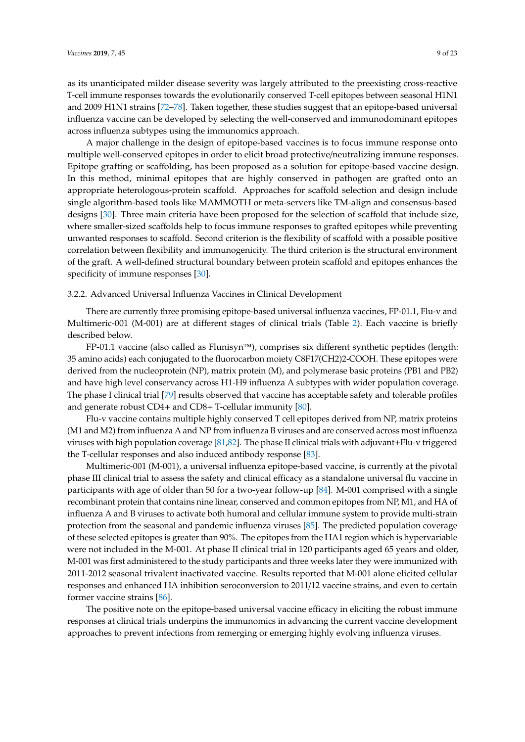as its unanticipated milder disease severity was largely attributed to the preexisting cross-reactive T-cell immune responses towards the evolutionarily conserved T-cell epitopes between seasonal H1N1 and 2009 H1N1 strains [\[72–](#page-18-8)[78\]](#page-18-9). Taken together, these studies suggest that an epitope-based universal influenza vaccine can be developed by selecting the well-conserved and immunodominant epitopes across influenza subtypes using the immunomics approach.

A major challenge in the design of epitope-based vaccines is to focus immune response onto multiple well-conserved epitopes in order to elicit broad protective/neutralizing immune responses. Epitope grafting or scaffolding, has been proposed as a solution for epitope-based vaccine design. In this method, minimal epitopes that are highly conserved in pathogen are grafted onto an appropriate heterologous-protein scaffold. Approaches for scaffold selection and design include single algorithm-based tools like MAMMOTH or meta-servers like TM-align and consensus-based designs [\[30\]](#page-16-12). Three main criteria have been proposed for the selection of scaffold that include size, where smaller-sized scaffolds help to focus immune responses to grafted epitopes while preventing unwanted responses to scaffold. Second criterion is the flexibility of scaffold with a possible positive correlation between flexibility and immunogenicity. The third criterion is the structural environment of the graft. A well-defined structural boundary between protein scaffold and epitopes enhances the specificity of immune responses [\[30\]](#page-16-12).

# 3.2.2. Advanced Universal Influenza Vaccines in Clinical Development

There are currently three promising epitope-based universal influenza vaccines, FP-01.1, Flu-v and Multimeric-001 (M-001) are at different stages of clinical trials (Table [2\)](#page-9-1). Each vaccine is briefly described below.

FP-01.1 vaccine (also called as Flunisyn™), comprises six different synthetic peptides (length: 35 amino acids) each conjugated to the fluorocarbon moiety C8F17(CH2)2-COOH. These epitopes were derived from the nucleoprotein (NP), matrix protein (M), and polymerase basic proteins (PB1 and PB2) and have high level conservancy across H1-H9 influenza A subtypes with wider population coverage. The phase I clinical trial [\[79\]](#page-18-10) results observed that vaccine has acceptable safety and tolerable profiles and generate robust CD4+ and CD8+ T-cellular immunity [\[80\]](#page-19-0).

Flu-v vaccine contains multiple highly conserved T cell epitopes derived from NP, matrix proteins (M1 and M2) from influenza A and NP from influenza B viruses and are conserved across most influenza viruses with high population coverage [\[81](#page-19-1)[,82\]](#page-19-2). The phase II clinical trials with adjuvant+Flu-v triggered the T-cellular responses and also induced antibody response [\[83\]](#page-19-3).

Multimeric-001 (M-001), a universal influenza epitope-based vaccine, is currently at the pivotal phase III clinical trial to assess the safety and clinical efficacy as a standalone universal flu vaccine in participants with age of older than 50 for a two-year follow-up [\[84\]](#page-19-4). M-001 comprised with a single recombinant protein that contains nine linear, conserved and common epitopes from NP, M1, and HA of influenza A and B viruses to activate both humoral and cellular immune system to provide multi-strain protection from the seasonal and pandemic influenza viruses [\[85\]](#page-19-5). The predicted population coverage of these selected epitopes is greater than 90%. The epitopes from the HA1 region which is hypervariable were not included in the M-001. At phase II clinical trial in 120 participants aged 65 years and older, M-001 was first administered to the study participants and three weeks later they were immunized with 2011-2012 seasonal trivalent inactivated vaccine. Results reported that M-001 alone elicited cellular responses and enhanced HA inhibition seroconversion to 2011/12 vaccine strains, and even to certain former vaccine strains [\[86\]](#page-19-6).

The positive note on the epitope-based universal vaccine efficacy in eliciting the robust immune responses at clinical trials underpins the immunomics in advancing the current vaccine development approaches to prevent infections from remerging or emerging highly evolving influenza viruses.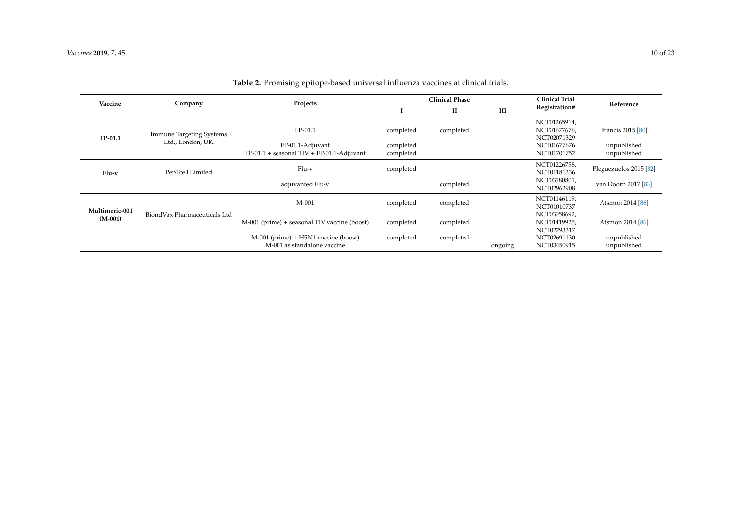<span id="page-9-1"></span><span id="page-9-0"></span>

| Vaccine                     | Company                                       | Projects                                                                        | <b>Clinical Phase</b>               |           |         | <b>Clinical Trial</b>                                                     | Reference                                       |
|-----------------------------|-----------------------------------------------|---------------------------------------------------------------------------------|-------------------------------------|-----------|---------|---------------------------------------------------------------------------|-------------------------------------------------|
|                             |                                               |                                                                                 |                                     | П         | Ш       | Registration#                                                             |                                                 |
| FP-01.1                     | Immune Targeting Systems<br>Ltd., London, UK. | $FP-01.1$<br>FP-01.1-Adjuvant<br>$FP-01.1 +$ seasonal TIV + $FP-01.1$ -Adjuvant | completed<br>completed<br>completed | completed |         | NCT01265914.<br>NCT01677676,<br>NCT02071329<br>NCT01677676<br>NCT01701752 | Francis 2015 [80]<br>unpublished<br>unpublished |
| $Flu-v$                     | PepTcell Limited                              | $Flu-v$<br>adjuvanted Flu-v                                                     | completed                           | completed |         | NCT01226758,<br>NCT01181336<br>NCT03180801,                               | Pleguezuelos 2015 [82]<br>van Doorn 2017 [83]   |
|                             |                                               |                                                                                 |                                     |           |         | NCT02962908                                                               |                                                 |
| Multimeric-001<br>$(M-001)$ | BiondVax Pharmaceuticals Ltd                  | $M-001$                                                                         | completed                           | completed |         | NCT01146119,<br>NCT01010737<br>NCT03058692,                               | Atsmon 2014 [86]                                |
|                             |                                               | M-001 (prime) + seasonal TIV vaccine (boost)                                    | completed                           | completed |         | NCT01419925,<br>NCT02293317                                               | Atsmon 2014 [86]                                |
|                             |                                               | $M$ -001 (prime) + H5N1 vaccine (boost)<br>M-001 as standalone vaccine          | completed                           | completed | ongoing | NCT02691130<br>NCT03450915                                                | unpublished<br>unpublished                      |

# **Table 2.** Promising epitope-based universal influenza vaccines at clinical trials.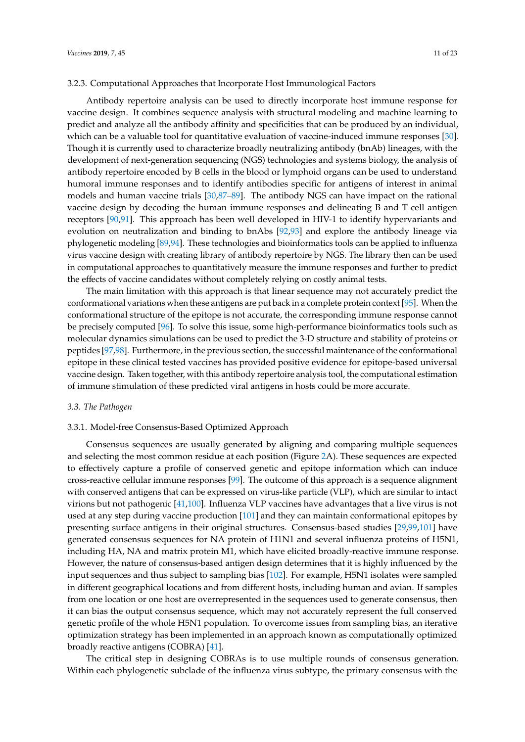#### 3.2.3. Computational Approaches that Incorporate Host Immunological Factors

Antibody repertoire analysis can be used to directly incorporate host immune response for vaccine design. It combines sequence analysis with structural modeling and machine learning to predict and analyze all the antibody affinity and specificities that can be produced by an individual, which can be a valuable tool for quantitative evaluation of vaccine-induced immune responses [\[30\]](#page-16-12). Though it is currently used to characterize broadly neutralizing antibody (bnAb) lineages, with the development of next-generation sequencing (NGS) technologies and systems biology, the analysis of antibody repertoire encoded by B cells in the blood or lymphoid organs can be used to understand humoral immune responses and to identify antibodies specific for antigens of interest in animal models and human vaccine trials [\[30,](#page-16-12)[87](#page-19-11)[–89\]](#page-19-12). The antibody NGS can have impact on the rational vaccine design by decoding the human immune responses and delineating B and T cell antigen receptors [\[90](#page-19-13)[,91\]](#page-19-14). This approach has been well developed in HIV-1 to identify hypervariants and evolution on neutralization and binding to bnAbs [\[92,](#page-19-15)[93\]](#page-19-16) and explore the antibody lineage via phylogenetic modeling [\[89,](#page-19-12)[94\]](#page-19-17). These technologies and bioinformatics tools can be applied to influenza virus vaccine design with creating library of antibody repertoire by NGS. The library then can be used in computational approaches to quantitatively measure the immune responses and further to predict the effects of vaccine candidates without completely relying on costly animal tests.

The main limitation with this approach is that linear sequence may not accurately predict the conformational variations when these antigens are put back in a complete protein context [\[95\]](#page-19-18). When the conformational structure of the epitope is not accurate, the corresponding immune response cannot be precisely computed [\[96\]](#page-19-19). To solve this issue, some high-performance bioinformatics tools such as molecular dynamics simulations can be used to predict the 3-D structure and stability of proteins or peptides [\[97](#page-19-20)[,98\]](#page-19-21). Furthermore, in the previous section, the successful maintenance of the conformational epitope in these clinical tested vaccines has provided positive evidence for epitope-based universal vaccine design. Taken together, with this antibody repertoire analysis tool, the computational estimation of immune stimulation of these predicted viral antigens in hosts could be more accurate.

#### *3.3. The Pathogen*

## 3.3.1. Model-free Consensus-Based Optimized Approach

Consensus sequences are usually generated by aligning and comparing multiple sequences and selecting the most common residue at each position (Figure [2A](#page-6-0)). These sequences are expected to effectively capture a profile of conserved genetic and epitope information which can induce cross-reactive cellular immune responses [\[99\]](#page-20-0). The outcome of this approach is a sequence alignment with conserved antigens that can be expressed on virus-like particle (VLP), which are similar to intact virions but not pathogenic [\[41](#page-17-4)[,100\]](#page-20-1). Influenza VLP vaccines have advantages that a live virus is not used at any step during vaccine production [\[101\]](#page-20-2) and they can maintain conformational epitopes by presenting surface antigens in their original structures. Consensus-based studies [\[29,](#page-16-11)[99,](#page-20-0)[101\]](#page-20-2) have generated consensus sequences for NA protein of H1N1 and several influenza proteins of H5N1, including HA, NA and matrix protein M1, which have elicited broadly-reactive immune response. However, the nature of consensus-based antigen design determines that it is highly influenced by the input sequences and thus subject to sampling bias [\[102\]](#page-20-3). For example, H5N1 isolates were sampled in different geographical locations and from different hosts, including human and avian. If samples from one location or one host are overrepresented in the sequences used to generate consensus, then it can bias the output consensus sequence, which may not accurately represent the full conserved genetic profile of the whole H5N1 population. To overcome issues from sampling bias, an iterative optimization strategy has been implemented in an approach known as computationally optimized broadly reactive antigens (COBRA) [\[41\]](#page-17-4).

The critical step in designing COBRAs is to use multiple rounds of consensus generation. Within each phylogenetic subclade of the influenza virus subtype, the primary consensus with the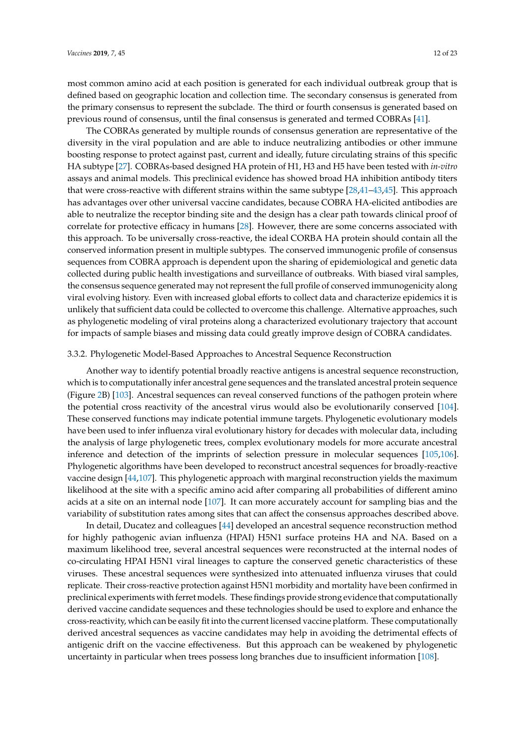most common amino acid at each position is generated for each individual outbreak group that is defined based on geographic location and collection time. The secondary consensus is generated from the primary consensus to represent the subclade. The third or fourth consensus is generated based on previous round of consensus, until the final consensus is generated and termed COBRAs [\[41\]](#page-17-4).

The COBRAs generated by multiple rounds of consensus generation are representative of the diversity in the viral population and are able to induce neutralizing antibodies or other immune boosting response to protect against past, current and ideally, future circulating strains of this specific HA subtype [\[27\]](#page-16-9). COBRAs-based designed HA protein of H1, H3 and H5 have been tested with *in-vitro* assays and animal models. This preclinical evidence has showed broad HA inhibition antibody titers that were cross-reactive with different strains within the same subtype [\[28,](#page-16-10)[41](#page-17-4)[–43,](#page-17-5)[45\]](#page-17-23). This approach has advantages over other universal vaccine candidates, because COBRA HA-elicited antibodies are able to neutralize the receptor binding site and the design has a clear path towards clinical proof of correlate for protective efficacy in humans [\[28\]](#page-16-10). However, there are some concerns associated with this approach. To be universally cross-reactive, the ideal CORBA HA protein should contain all the conserved information present in multiple subtypes. The conserved immunogenic profile of consensus sequences from COBRA approach is dependent upon the sharing of epidemiological and genetic data collected during public health investigations and surveillance of outbreaks. With biased viral samples, the consensus sequence generated may not represent the full profile of conserved immunogenicity along viral evolving history. Even with increased global efforts to collect data and characterize epidemics it is unlikely that sufficient data could be collected to overcome this challenge. Alternative approaches, such as phylogenetic modeling of viral proteins along a characterized evolutionary trajectory that account for impacts of sample biases and missing data could greatly improve design of COBRA candidates.

#### 3.3.2. Phylogenetic Model-Based Approaches to Ancestral Sequence Reconstruction

Another way to identify potential broadly reactive antigens is ancestral sequence reconstruction, which is to computationally infer ancestral gene sequences and the translated ancestral protein sequence (Figure [2B](#page-6-0)) [\[103\]](#page-20-4). Ancestral sequences can reveal conserved functions of the pathogen protein where the potential cross reactivity of the ancestral virus would also be evolutionarily conserved [\[104\]](#page-20-5). These conserved functions may indicate potential immune targets. Phylogenetic evolutionary models have been used to infer influenza viral evolutionary history for decades with molecular data, including the analysis of large phylogenetic trees, complex evolutionary models for more accurate ancestral inference and detection of the imprints of selection pressure in molecular sequences [\[105,](#page-20-6)[106\]](#page-20-7). Phylogenetic algorithms have been developed to reconstruct ancestral sequences for broadly-reactive vaccine design [\[44](#page-17-6)[,107\]](#page-20-8). This phylogenetic approach with marginal reconstruction yields the maximum likelihood at the site with a specific amino acid after comparing all probabilities of different amino acids at a site on an internal node [\[107\]](#page-20-8). It can more accurately account for sampling bias and the variability of substitution rates among sites that can affect the consensus approaches described above.

In detail, Ducatez and colleagues [\[44\]](#page-17-6) developed an ancestral sequence reconstruction method for highly pathogenic avian influenza (HPAI) H5N1 surface proteins HA and NA. Based on a maximum likelihood tree, several ancestral sequences were reconstructed at the internal nodes of co-circulating HPAI H5N1 viral lineages to capture the conserved genetic characteristics of these viruses. These ancestral sequences were synthesized into attenuated influenza viruses that could replicate. Their cross-reactive protection against H5N1 morbidity and mortality have been confirmed in preclinical experiments with ferret models. These findings provide strong evidence that computationally derived vaccine candidate sequences and these technologies should be used to explore and enhance the cross-reactivity, which can be easily fit into the current licensed vaccine platform. These computationally derived ancestral sequences as vaccine candidates may help in avoiding the detrimental effects of antigenic drift on the vaccine effectiveness. But this approach can be weakened by phylogenetic uncertainty in particular when trees possess long branches due to insufficient information [\[108\]](#page-20-9).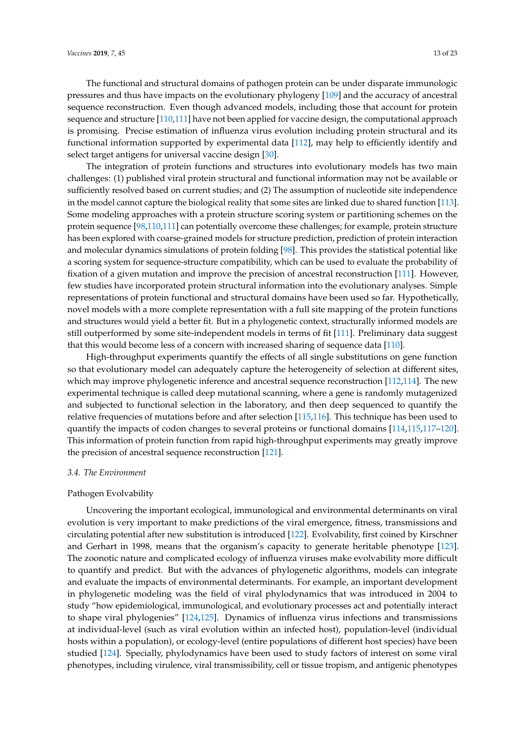The functional and structural domains of pathogen protein can be under disparate immunologic pressures and thus have impacts on the evolutionary phylogeny [\[109\]](#page-20-10) and the accuracy of ancestral sequence reconstruction. Even though advanced models, including those that account for protein sequence and structure [\[110](#page-20-11)[,111\]](#page-20-12) have not been applied for vaccine design, the computational approach is promising. Precise estimation of influenza virus evolution including protein structural and its functional information supported by experimental data [\[112\]](#page-20-13), may help to efficiently identify and select target antigens for universal vaccine design [\[30\]](#page-16-12).

The integration of protein functions and structures into evolutionary models has two main challenges: (1) published viral protein structural and functional information may not be available or sufficiently resolved based on current studies; and (2) The assumption of nucleotide site independence in the model cannot capture the biological reality that some sites are linked due to shared function [\[113\]](#page-20-14). Some modeling approaches with a protein structure scoring system or partitioning schemes on the protein sequence [\[98](#page-19-21)[,110,](#page-20-11)[111\]](#page-20-12) can potentially overcome these challenges; for example, protein structure has been explored with coarse-grained models for structure prediction, prediction of protein interaction and molecular dynamics simulations of protein folding [\[98\]](#page-19-21). This provides the statistical potential like a scoring system for sequence-structure compatibility, which can be used to evaluate the probability of fixation of a given mutation and improve the precision of ancestral reconstruction [\[111\]](#page-20-12). However, few studies have incorporated protein structural information into the evolutionary analyses. Simple representations of protein functional and structural domains have been used so far. Hypothetically, novel models with a more complete representation with a full site mapping of the protein functions and structures would yield a better fit. But in a phylogenetic context, structurally informed models are still outperformed by some site-independent models in terms of fit [\[111\]](#page-20-12). Preliminary data suggest that this would become less of a concern with increased sharing of sequence data [\[110\]](#page-20-11).

High-throughput experiments quantify the effects of all single substitutions on gene function so that evolutionary model can adequately capture the heterogeneity of selection at different sites, which may improve phylogenetic inference and ancestral sequence reconstruction [\[112](#page-20-13)[,114\]](#page-20-15). The new experimental technique is called deep mutational scanning, where a gene is randomly mutagenized and subjected to functional selection in the laboratory, and then deep sequenced to quantify the relative frequencies of mutations before and after selection [\[115,](#page-20-16)[116\]](#page-20-17). This technique has been used to quantify the impacts of codon changes to several proteins or functional domains [\[114,](#page-20-15)[115,](#page-20-16)[117–](#page-20-18)[120\]](#page-20-19). This information of protein function from rapid high-throughput experiments may greatly improve the precision of ancestral sequence reconstruction [\[121\]](#page-20-20).

# *3.4. The Environment*

# Pathogen Evolvability

Uncovering the important ecological, immunological and environmental determinants on viral evolution is very important to make predictions of the viral emergence, fitness, transmissions and circulating potential after new substitution is introduced [\[122\]](#page-20-21). Evolvability, first coined by Kirschner and Gerhart in 1998, means that the organism's capacity to generate heritable phenotype [\[123\]](#page-20-22). The zoonotic nature and complicated ecology of influenza viruses make evolvability more difficult to quantify and predict. But with the advances of phylogenetic algorithms, models can integrate and evaluate the impacts of environmental determinants. For example, an important development in phylogenetic modeling was the field of viral phylodynamics that was introduced in 2004 to study "how epidemiological, immunological, and evolutionary processes act and potentially interact to shape viral phylogenies" [\[124](#page-21-0)[,125\]](#page-21-1). Dynamics of influenza virus infections and transmissions at individual-level (such as viral evolution within an infected host), population-level (individual hosts within a population), or ecology-level (entire populations of different host species) have been studied [\[124\]](#page-21-0). Specially, phylodynamics have been used to study factors of interest on some viral phenotypes, including virulence, viral transmissibility, cell or tissue tropism, and antigenic phenotypes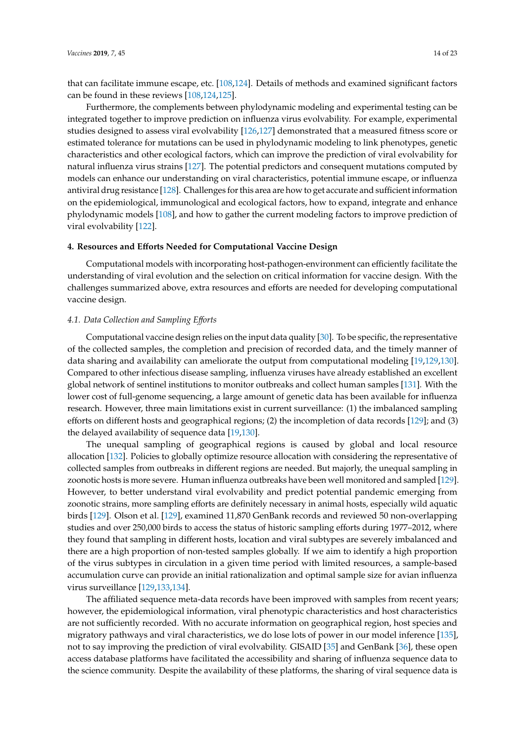that can facilitate immune escape, etc. [\[108,](#page-20-9)[124\]](#page-21-0). Details of methods and examined significant factors can be found in these reviews [\[108,](#page-20-9)[124,](#page-21-0)[125\]](#page-21-1).

Furthermore, the complements between phylodynamic modeling and experimental testing can be integrated together to improve prediction on influenza virus evolvability. For example, experimental studies designed to assess viral evolvability [\[126](#page-21-2)[,127\]](#page-21-3) demonstrated that a measured fitness score or estimated tolerance for mutations can be used in phylodynamic modeling to link phenotypes, genetic characteristics and other ecological factors, which can improve the prediction of viral evolvability for natural influenza virus strains [\[127\]](#page-21-3). The potential predictors and consequent mutations computed by models can enhance our understanding on viral characteristics, potential immune escape, or influenza antiviral drug resistance [\[128\]](#page-21-4). Challenges for this area are how to get accurate and sufficient information on the epidemiological, immunological and ecological factors, how to expand, integrate and enhance phylodynamic models [\[108\]](#page-20-9), and how to gather the current modeling factors to improve prediction of viral evolvability [\[122\]](#page-20-21).

# **4. Resources and E**ff**orts Needed for Computational Vaccine Design**

Computational models with incorporating host-pathogen-environment can efficiently facilitate the understanding of viral evolution and the selection on critical information for vaccine design. With the challenges summarized above, extra resources and efforts are needed for developing computational vaccine design.

#### *4.1. Data Collection and Sampling E*ff*orts*

Computational vaccine design relies on the input data quality [\[30\]](#page-16-12). To be specific, the representative of the collected samples, the completion and precision of recorded data, and the timely manner of data sharing and availability can ameliorate the output from computational modeling [\[19,](#page-16-2)[129,](#page-21-5)[130\]](#page-21-6). Compared to other infectious disease sampling, influenza viruses have already established an excellent global network of sentinel institutions to monitor outbreaks and collect human samples [\[131\]](#page-21-7). With the lower cost of full-genome sequencing, a large amount of genetic data has been available for influenza research. However, three main limitations exist in current surveillance: (1) the imbalanced sampling efforts on different hosts and geographical regions; (2) the incompletion of data records [\[129\]](#page-21-5); and (3) the delayed availability of sequence data [\[19](#page-16-2)[,130\]](#page-21-6).

The unequal sampling of geographical regions is caused by global and local resource allocation [\[132\]](#page-21-8). Policies to globally optimize resource allocation with considering the representative of collected samples from outbreaks in different regions are needed. But majorly, the unequal sampling in zoonotic hosts is more severe. Human influenza outbreaks have been well monitored and sampled [\[129\]](#page-21-5). However, to better understand viral evolvability and predict potential pandemic emerging from zoonotic strains, more sampling efforts are definitely necessary in animal hosts, especially wild aquatic birds [\[129\]](#page-21-5). Olson et al. [\[129\]](#page-21-5), examined 11,870 GenBank records and reviewed 50 non-overlapping studies and over 250,000 birds to access the status of historic sampling efforts during 1977–2012, where they found that sampling in different hosts, location and viral subtypes are severely imbalanced and there are a high proportion of non-tested samples globally. If we aim to identify a high proportion of the virus subtypes in circulation in a given time period with limited resources, a sample-based accumulation curve can provide an initial rationalization and optimal sample size for avian influenza virus surveillance [\[129](#page-21-5)[,133](#page-21-9)[,134\]](#page-21-10).

The affiliated sequence meta-data records have been improved with samples from recent years; however, the epidemiological information, viral phenotypic characteristics and host characteristics are not sufficiently recorded. With no accurate information on geographical region, host species and migratory pathways and viral characteristics, we do lose lots of power in our model inference [\[135\]](#page-21-11), not to say improving the prediction of viral evolvability. GISAID [\[35\]](#page-16-17) and GenBank [\[36\]](#page-17-24), these open access database platforms have facilitated the accessibility and sharing of influenza sequence data to the science community. Despite the availability of these platforms, the sharing of viral sequence data is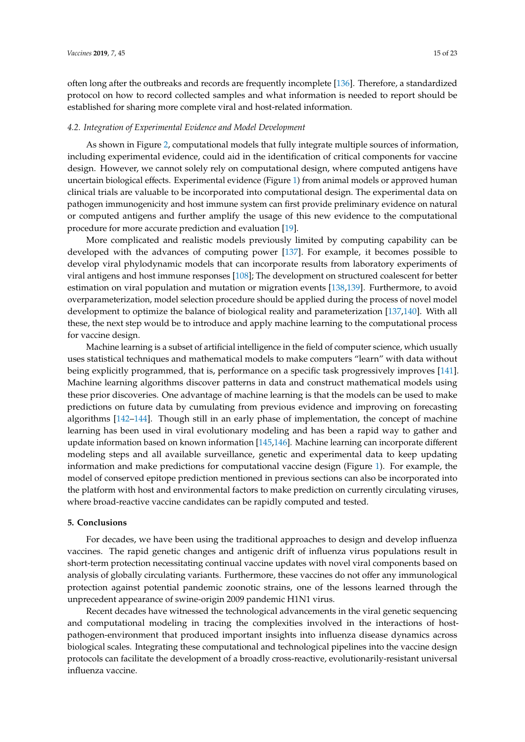often long after the outbreaks and records are frequently incomplete [\[136\]](#page-21-12). Therefore, a standardized protocol on how to record collected samples and what information is needed to report should be established for sharing more complete viral and host-related information.

#### *4.2. Integration of Experimental Evidence and Model Development*

As shown in Figure [2,](#page-6-0) computational models that fully integrate multiple sources of information, including experimental evidence, could aid in the identification of critical components for vaccine design. However, we cannot solely rely on computational design, where computed antigens have uncertain biological effects. Experimental evidence (Figure [1\)](#page-3-0) from animal models or approved human clinical trials are valuable to be incorporated into computational design. The experimental data on pathogen immunogenicity and host immune system can first provide preliminary evidence on natural or computed antigens and further amplify the usage of this new evidence to the computational procedure for more accurate prediction and evaluation [\[19\]](#page-16-2).

More complicated and realistic models previously limited by computing capability can be developed with the advances of computing power [\[137\]](#page-21-13). For example, it becomes possible to develop viral phylodynamic models that can incorporate results from laboratory experiments of viral antigens and host immune responses [\[108\]](#page-20-9); The development on structured coalescent for better estimation on viral population and mutation or migration events [\[138,](#page-21-14)[139\]](#page-21-15). Furthermore, to avoid overparameterization, model selection procedure should be applied during the process of novel model development to optimize the balance of biological reality and parameterization [\[137,](#page-21-13)[140\]](#page-21-16). With all these, the next step would be to introduce and apply machine learning to the computational process for vaccine design.

Machine learning is a subset of artificial intelligence in the field of computer science, which usually uses statistical techniques and mathematical models to make computers "learn" with data without being explicitly programmed, that is, performance on a specific task progressively improves [\[141\]](#page-21-17). Machine learning algorithms discover patterns in data and construct mathematical models using these prior discoveries. One advantage of machine learning is that the models can be used to make predictions on future data by cumulating from previous evidence and improving on forecasting algorithms [\[142](#page-21-18)[–144\]](#page-21-19). Though still in an early phase of implementation, the concept of machine learning has been used in viral evolutionary modeling and has been a rapid way to gather and update information based on known information [\[145](#page-22-0)[,146\]](#page-22-1). Machine learning can incorporate different modeling steps and all available surveillance, genetic and experimental data to keep updating information and make predictions for computational vaccine design (Figure [1\)](#page-3-0). For example, the model of conserved epitope prediction mentioned in previous sections can also be incorporated into the platform with host and environmental factors to make prediction on currently circulating viruses, where broad-reactive vaccine candidates can be rapidly computed and tested.

# **5. Conclusions**

For decades, we have been using the traditional approaches to design and develop influenza vaccines. The rapid genetic changes and antigenic drift of influenza virus populations result in short-term protection necessitating continual vaccine updates with novel viral components based on analysis of globally circulating variants. Furthermore, these vaccines do not offer any immunological protection against potential pandemic zoonotic strains, one of the lessons learned through the unprecedent appearance of swine-origin 2009 pandemic H1N1 virus.

Recent decades have witnessed the technological advancements in the viral genetic sequencing and computational modeling in tracing the complexities involved in the interactions of hostpathogen-environment that produced important insights into influenza disease dynamics across biological scales. Integrating these computational and technological pipelines into the vaccine design protocols can facilitate the development of a broadly cross-reactive, evolutionarily-resistant universal influenza vaccine.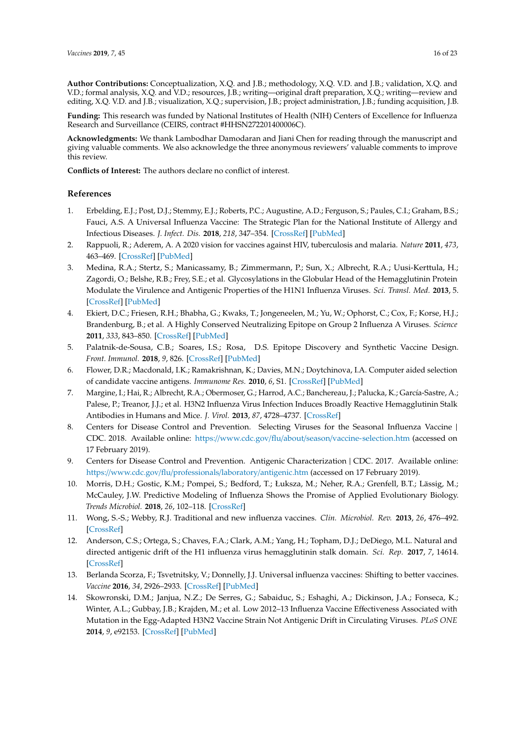**Author Contributions:** Conceptualization, X.Q. and J.B.; methodology, X.Q. V.D. and J.B.; validation, X.Q. and V.D.; formal analysis, X.Q. and V.D.; resources, J.B.; writing—original draft preparation, X.Q.; writing—review and editing, X.Q. V.D. and J.B.; visualization, X.Q.; supervision, J.B.; project administration, J.B.; funding acquisition, J.B.

**Funding:** This research was funded by National Institutes of Health (NIH) Centers of Excellence for Influenza Research and Surveillance (CEIRS, contract #HHSN272201400006C).

**Acknowledgments:** We thank Lambodhar Damodaran and Jiani Chen for reading through the manuscript and giving valuable comments. We also acknowledge the three anonymous reviewers' valuable comments to improve this review.

**Conflicts of Interest:** The authors declare no conflict of interest.

# **References**

- <span id="page-15-0"></span>1. Erbelding, E.J.; Post, D.J.; Stemmy, E.J.; Roberts, P.C.; Augustine, A.D.; Ferguson, S.; Paules, C.I.; Graham, B.S.; Fauci, A.S. A Universal Influenza Vaccine: The Strategic Plan for the National Institute of Allergy and Infectious Diseases. *J. Infect. Dis.* **2018**, *218*, 347–354. [\[CrossRef\]](http://dx.doi.org/10.1093/infdis/jiy103) [\[PubMed\]](http://www.ncbi.nlm.nih.gov/pubmed/29506129)
- <span id="page-15-1"></span>2. Rappuoli, R.; Aderem, A. A 2020 vision for vaccines against HIV, tuberculosis and malaria. *Nature* **2011**, *473*, 463–469. [\[CrossRef\]](http://dx.doi.org/10.1038/nature10124) [\[PubMed\]](http://www.ncbi.nlm.nih.gov/pubmed/21614073)
- 3. Medina, R.A.; Stertz, S.; Manicassamy, B.; Zimmermann, P.; Sun, X.; Albrecht, R.A.; Uusi-Kerttula, H.; Zagordi, O.; Belshe, R.B.; Frey, S.E.; et al. Glycosylations in the Globular Head of the Hemagglutinin Protein Modulate the Virulence and Antigenic Properties of the H1N1 Influenza Viruses. *Sci. Transl. Med.* **2013**, 5. [\[CrossRef\]](http://dx.doi.org/10.1126/scitranslmed.3005996) [\[PubMed\]](http://www.ncbi.nlm.nih.gov/pubmed/23720581)
- 4. Ekiert, D.C.; Friesen, R.H.; Bhabha, G.; Kwaks, T.; Jongeneelen, M.; Yu, W.; Ophorst, C.; Cox, F.; Korse, H.J.; Brandenburg, B.; et al. A Highly Conserved Neutralizing Epitope on Group 2 Influenza A Viruses. *Science* **2011**, *333*, 843–850. [\[CrossRef\]](http://dx.doi.org/10.1126/science.1204839) [\[PubMed\]](http://www.ncbi.nlm.nih.gov/pubmed/21737702)
- <span id="page-15-2"></span>5. Palatnik-de-Sousa, C.B.; Soares, I.S.; Rosa, D.S. Epitope Discovery and Synthetic Vaccine Design. *Front. Immunol.* **2018**, *9*, 826. [\[CrossRef\]](http://dx.doi.org/10.3389/fimmu.2018.00826) [\[PubMed\]](http://www.ncbi.nlm.nih.gov/pubmed/29720983)
- <span id="page-15-3"></span>6. Flower, D.R.; Macdonald, I.K.; Ramakrishnan, K.; Davies, M.N.; Doytchinova, I.A. Computer aided selection of candidate vaccine antigens. *Immunome Res.* **2010**, *6*, S1. [\[CrossRef\]](http://dx.doi.org/10.1186/1745-7580-6-S2-S1) [\[PubMed\]](http://www.ncbi.nlm.nih.gov/pubmed/21067543)
- <span id="page-15-4"></span>7. Margine, I.; Hai, R.; Albrecht, R.A.; Obermoser, G.; Harrod, A.C.; Banchereau, J.; Palucka, K.; García-Sastre, A.; Palese, P.; Treanor, J.J.; et al. H3N2 Influenza Virus Infection Induces Broadly Reactive Hemagglutinin Stalk Antibodies in Humans and Mice. *J. Virol.* **2013**, *87*, 4728–4737. [\[CrossRef\]](http://dx.doi.org/10.1128/JVI.03509-12)
- <span id="page-15-5"></span>8. Centers for Disease Control and Prevention. Selecting Viruses for the Seasonal Influenza Vaccine | CDC. 2018. Available online: https://www.cdc.gov/flu/about/season/[vaccine-selection.htm](https://www.cdc.gov/flu/about/season/vaccine-selection.htm) (accessed on 17 February 2019).
- <span id="page-15-6"></span>9. Centers for Disease Control and Prevention. Antigenic Characterization | CDC. 2017. Available online: https://www.cdc.gov/flu/professionals/laboratory/[antigenic.htm](https://www.cdc.gov/flu/professionals/laboratory/antigenic.htm) (accessed on 17 February 2019).
- <span id="page-15-7"></span>10. Morris, D.H.; Gostic, K.M.; Pompei, S.; Bedford, T.; Łuksza, M.; Neher, R.A.; Grenfell, B.T.; Lässig, M.; McCauley, J.W. Predictive Modeling of Influenza Shows the Promise of Applied Evolutionary Biology. *Trends Microbiol.* **2018**, *26*, 102–118. [\[CrossRef\]](http://dx.doi.org/10.1016/j.tim.2017.09.004)
- <span id="page-15-8"></span>11. Wong, S.-S.; Webby, R.J. Traditional and new influenza vaccines. *Clin. Microbiol. Rev.* **2013**, *26*, 476–492. [\[CrossRef\]](http://dx.doi.org/10.1128/CMR.00097-12)
- <span id="page-15-9"></span>12. Anderson, C.S.; Ortega, S.; Chaves, F.A.; Clark, A.M.; Yang, H.; Topham, D.J.; DeDiego, M.L. Natural and directed antigenic drift of the H1 influenza virus hemagglutinin stalk domain. *Sci. Rep.* **2017**, *7*, 14614. [\[CrossRef\]](http://dx.doi.org/10.1038/s41598-017-14931-7)
- <span id="page-15-10"></span>13. Berlanda Scorza, F.; Tsvetnitsky, V.; Donnelly, J.J. Universal influenza vaccines: Shifting to better vaccines. *Vaccine* **2016**, *34*, 2926–2933. [\[CrossRef\]](http://dx.doi.org/10.1016/j.vaccine.2016.03.085) [\[PubMed\]](http://www.ncbi.nlm.nih.gov/pubmed/27038130)
- <span id="page-15-11"></span>14. Skowronski, D.M.; Janjua, N.Z.; De Serres, G.; Sabaiduc, S.; Eshaghi, A.; Dickinson, J.A.; Fonseca, K.; Winter, A.L.; Gubbay, J.B.; Krajden, M.; et al. Low 2012–13 Influenza Vaccine Effectiveness Associated with Mutation in the Egg-Adapted H3N2 Vaccine Strain Not Antigenic Drift in Circulating Viruses. *PLoS ONE* **2014**, *9*, e92153. [\[CrossRef\]](http://dx.doi.org/10.1371/journal.pone.0092153) [\[PubMed\]](http://www.ncbi.nlm.nih.gov/pubmed/24667168)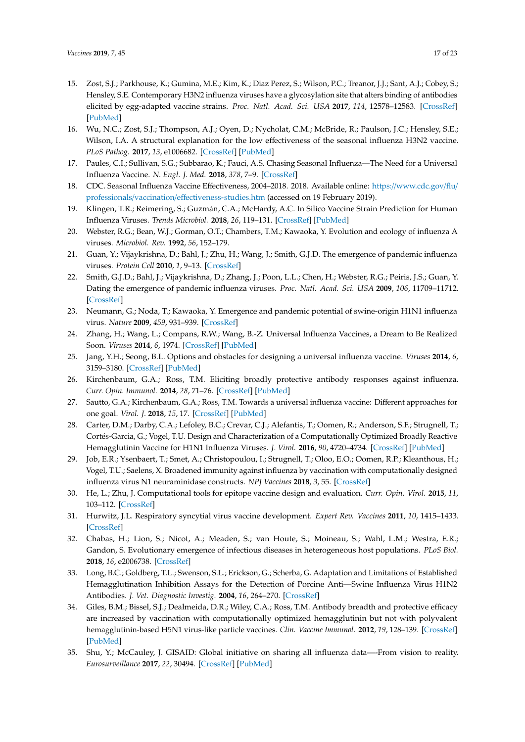- 15. Zost, S.J.; Parkhouse, K.; Gumina, M.E.; Kim, K.; Diaz Perez, S.; Wilson, P.C.; Treanor, J.J.; Sant, A.J.; Cobey, S.; Hensley, S.E. Contemporary H3N2 influenza viruses have a glycosylation site that alters binding of antibodies elicited by egg-adapted vaccine strains. *Proc. Natl. Acad. Sci. USA* **2017**, *114*, 12578–12583. [\[CrossRef\]](http://dx.doi.org/10.1073/pnas.1712377114) [\[PubMed\]](http://www.ncbi.nlm.nih.gov/pubmed/29109276)
- 16. Wu, N.C.; Zost, S.J.; Thompson, A.J.; Oyen, D.; Nycholat, C.M.; McBride, R.; Paulson, J.C.; Hensley, S.E.; Wilson, I.A. A structural explanation for the low effectiveness of the seasonal influenza H3N2 vaccine. *PLoS Pathog.* **2017**, *13*, e1006682. [\[CrossRef\]](http://dx.doi.org/10.1371/journal.ppat.1006682) [\[PubMed\]](http://www.ncbi.nlm.nih.gov/pubmed/29059230)
- <span id="page-16-0"></span>17. Paules, C.I.; Sullivan, S.G.; Subbarao, K.; Fauci, A.S. Chasing Seasonal Influenza—The Need for a Universal Influenza Vaccine. *N. Engl. J. Med.* **2018**, *378*, 7–9. [\[CrossRef\]](http://dx.doi.org/10.1056/NEJMp1714916)
- <span id="page-16-1"></span>18. CDC. Seasonal Influenza Vaccine Effectiveness, 2004–2018. 2018. Available online: https://[www.cdc.gov](https://www.cdc.gov/flu/professionals/vaccination/effectiveness-studies.htm)/flu/ professionals/vaccination/eff[ectiveness-studies.htm](https://www.cdc.gov/flu/professionals/vaccination/effectiveness-studies.htm) (accessed on 19 February 2019).
- <span id="page-16-18"></span><span id="page-16-2"></span>19. Klingen, T.R.; Reimering, S.; Guzmán, C.A.; McHardy, A.C. In Silico Vaccine Strain Prediction for Human Influenza Viruses. *Trends Microbiol.* **2018**, *26*, 119–131. [\[CrossRef\]](http://dx.doi.org/10.1016/j.tim.2017.09.001) [\[PubMed\]](http://www.ncbi.nlm.nih.gov/pubmed/29032900)
- <span id="page-16-3"></span>20. Webster, R.G.; Bean, W.J.; Gorman, O.T.; Chambers, T.M.; Kawaoka, Y. Evolution and ecology of influenza A viruses. *Microbiol. Rev.* **1992**, *56*, 152–179.
- <span id="page-16-4"></span>21. Guan, Y.; Vijaykrishna, D.; Bahl, J.; Zhu, H.; Wang, J.; Smith, G.J.D. The emergence of pandemic influenza viruses. *Protein Cell* **2010**, *1*, 9–13. [\[CrossRef\]](http://dx.doi.org/10.1007/s13238-010-0008-z)
- 22. Smith, G.J.D.; Bahl, J.; Vijaykrishna, D.; Zhang, J.; Poon, L.L.; Chen, H.; Webster, R.G.; Peiris, J.S.; Guan, Y. Dating the emergence of pandemic influenza viruses. *Proc. Natl. Acad. Sci. USA* **2009**, *106*, 11709–11712. [\[CrossRef\]](http://dx.doi.org/10.1073/pnas.0904991106)
- <span id="page-16-5"></span>23. Neumann, G.; Noda, T.; Kawaoka, Y. Emergence and pandemic potential of swine-origin H1N1 influenza virus. *Nature* **2009**, *459*, 931–939. [\[CrossRef\]](http://dx.doi.org/10.1038/nature08157)
- <span id="page-16-6"></span>24. Zhang, H.; Wang, L.; Compans, R.W.; Wang, B.-Z. Universal Influenza Vaccines, a Dream to Be Realized Soon. *Viruses* **2014**, *6*, 1974. [\[CrossRef\]](http://dx.doi.org/10.3390/v6051974) [\[PubMed\]](http://www.ncbi.nlm.nih.gov/pubmed/24784572)
- <span id="page-16-8"></span>25. Jang, Y.H.; Seong, B.L. Options and obstacles for designing a universal influenza vaccine. *Viruses* **2014**, *6*, 3159–3180. [\[CrossRef\]](http://dx.doi.org/10.3390/v6083159) [\[PubMed\]](http://www.ncbi.nlm.nih.gov/pubmed/25196381)
- <span id="page-16-7"></span>26. Kirchenbaum, G.A.; Ross, T.M. Eliciting broadly protective antibody responses against influenza. *Curr. Opin. Immunol.* **2014**, *28*, 71–76. [\[CrossRef\]](http://dx.doi.org/10.1016/j.coi.2014.02.005) [\[PubMed\]](http://www.ncbi.nlm.nih.gov/pubmed/24632083)
- <span id="page-16-9"></span>27. Sautto, G.A.; Kirchenbaum, G.A.; Ross, T.M. Towards a universal influenza vaccine: Different approaches for one goal. *Virol. J.* **2018**, *15*, 17. [\[CrossRef\]](http://dx.doi.org/10.1186/s12985-017-0918-y) [\[PubMed\]](http://www.ncbi.nlm.nih.gov/pubmed/29370862)
- <span id="page-16-10"></span>28. Carter, D.M.; Darby, C.A.; Lefoley, B.C.; Crevar, C.J.; Alefantis, T.; Oomen, R.; Anderson, S.F.; Strugnell, T.; Cortés-Garcia, G.; Vogel, T.U. Design and Characterization of a Computationally Optimized Broadly Reactive Hemagglutinin Vaccine for H1N1 Influenza Viruses. *J. Virol.* **2016**, *90*, 4720–4734. [\[CrossRef\]](http://dx.doi.org/10.1128/JVI.03152-15) [\[PubMed\]](http://www.ncbi.nlm.nih.gov/pubmed/26912624)
- <span id="page-16-11"></span>29. Job, E.R.; Ysenbaert, T.; Smet, A.; Christopoulou, I.; Strugnell, T.; Oloo, E.O.; Oomen, R.P.; Kleanthous, H.; Vogel, T.U.; Saelens, X. Broadened immunity against influenza by vaccination with computationally designed influenza virus N1 neuraminidase constructs. *NPJ Vaccines* **2018**, *3*, 55. [\[CrossRef\]](http://dx.doi.org/10.1038/s41541-018-0093-1)
- <span id="page-16-12"></span>30. He, L.; Zhu, J. Computational tools for epitope vaccine design and evaluation. *Curr. Opin. Virol.* **2015**, *11*, 103–112. [\[CrossRef\]](http://dx.doi.org/10.1016/j.coviro.2015.03.013)
- <span id="page-16-13"></span>31. Hurwitz, J.L. Respiratory syncytial virus vaccine development. *Expert Rev. Vaccines* **2011**, *10*, 1415–1433. [\[CrossRef\]](http://dx.doi.org/10.1586/erv.11.120)
- <span id="page-16-14"></span>32. Chabas, H.; Lion, S.; Nicot, A.; Meaden, S.; van Houte, S.; Moineau, S.; Wahl, L.M.; Westra, E.R.; Gandon, S. Evolutionary emergence of infectious diseases in heterogeneous host populations. *PLoS Biol.* **2018**, *16*, e2006738. [\[CrossRef\]](http://dx.doi.org/10.1371/journal.pbio.2006738)
- <span id="page-16-15"></span>33. Long, B.C.; Goldberg, T.L.; Swenson, S.L.; Erickson, G.; Scherba, G. Adaptation and Limitations of Established Hemagglutination Inhibition Assays for the Detection of Porcine Anti—Swine Influenza Virus H1N2 Antibodies. *J. Vet. Diagnostic Investig.* **2004**, *16*, 264–270. [\[CrossRef\]](http://dx.doi.org/10.1177/104063870401600402)
- <span id="page-16-16"></span>34. Giles, B.M.; Bissel, S.J.; Dealmeida, D.R.; Wiley, C.A.; Ross, T.M. Antibody breadth and protective efficacy are increased by vaccination with computationally optimized hemagglutinin but not with polyvalent hemagglutinin-based H5N1 virus-like particle vaccines. *Clin. Vaccine Immunol.* **2012**, *19*, 128–139. [\[CrossRef\]](http://dx.doi.org/10.1128/CVI.05533-11) [\[PubMed\]](http://www.ncbi.nlm.nih.gov/pubmed/22190399)
- <span id="page-16-17"></span>35. Shu, Y.; McCauley, J. GISAID: Global initiative on sharing all influenza data—-From vision to reality. *Eurosurveillance* **2017**, *22*, 30494. [\[CrossRef\]](http://dx.doi.org/10.2807/1560-7917.ES.2017.22.13.30494) [\[PubMed\]](http://www.ncbi.nlm.nih.gov/pubmed/28382917)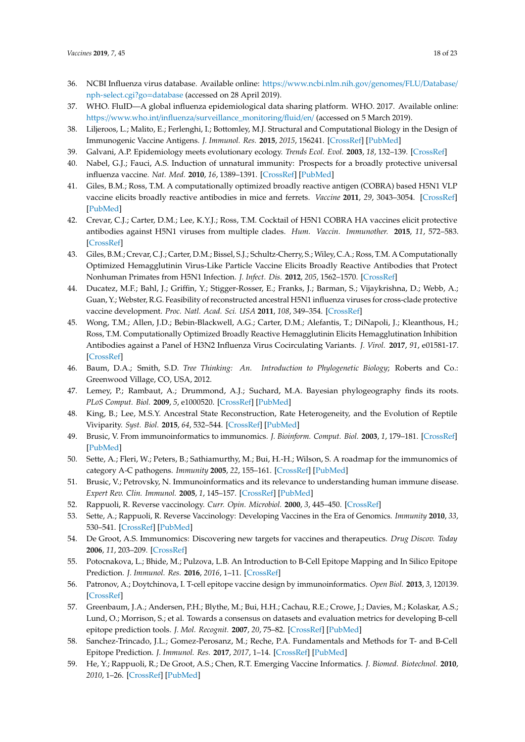- <span id="page-17-24"></span><span id="page-17-10"></span><span id="page-17-8"></span><span id="page-17-7"></span>36. NCBI Influenza virus database. Available online: https://[www.ncbi.nlm.nih.gov](https://www.ncbi.nlm.nih.gov/genomes/FLU/Database/nph-select.cgi?go=database)/genomes/FLU/Database/ [nph-select.cgi?go](https://www.ncbi.nlm.nih.gov/genomes/FLU/Database/nph-select.cgi?go=database)=database (accessed on 28 April 2019).
- <span id="page-17-9"></span><span id="page-17-0"></span>37. WHO. FluID—A global influenza epidemiological data sharing platform. WHO. 2017. Available online: https://www.who.int/influenza/[surveillance\\_monitoring](https://www.who.int/influenza/surveillance_monitoring/fluid/en/)/fluid/en/ (accessed on 5 March 2019).
- <span id="page-17-1"></span>38. Liljeroos, L.; Malito, E.; Ferlenghi, I.; Bottomley, M.J. Structural and Computational Biology in the Design of Immunogenic Vaccine Antigens. *J. Immunol. Res.* **2015**, *2015*, 156241. [\[CrossRef\]](http://dx.doi.org/10.1155/2015/156241) [\[PubMed\]](http://www.ncbi.nlm.nih.gov/pubmed/26526043)
- <span id="page-17-2"></span>39. Galvani, A.P. Epidemiology meets evolutionary ecology. *Trends Ecol. Evol.* **2003**, *18*, 132–139. [\[CrossRef\]](http://dx.doi.org/10.1016/S0169-5347(02)00050-2)
- <span id="page-17-3"></span>40. Nabel, G.J.; Fauci, A.S. Induction of unnatural immunity: Prospects for a broadly protective universal influenza vaccine. *Nat. Med.* **2010**, *16*, 1389–1391. [\[CrossRef\]](http://dx.doi.org/10.1038/nm1210-1389) [\[PubMed\]](http://www.ncbi.nlm.nih.gov/pubmed/21135852)
- <span id="page-17-4"></span>41. Giles, B.M.; Ross, T.M. A computationally optimized broadly reactive antigen (COBRA) based H5N1 VLP vaccine elicits broadly reactive antibodies in mice and ferrets. *Vaccine* **2011**, *29*, 3043–3054. [\[CrossRef\]](http://dx.doi.org/10.1016/j.vaccine.2011.01.100) [\[PubMed\]](http://www.ncbi.nlm.nih.gov/pubmed/21320540)
- 42. Crevar, C.J.; Carter, D.M.; Lee, K.Y.J.; Ross, T.M. Cocktail of H5N1 COBRA HA vaccines elicit protective antibodies against H5N1 viruses from multiple clades. *Hum. Vaccin. Immunother.* **2015**, *11*, 572–583. [\[CrossRef\]](http://dx.doi.org/10.1080/21645515.2015.1012013)
- <span id="page-17-5"></span>43. Giles, B.M.; Crevar, C.J.; Carter, D.M.; Bissel, S.J.; Schultz-Cherry, S.; Wiley, C.A.; Ross, T.M. A Computationally Optimized Hemagglutinin Virus-Like Particle Vaccine Elicits Broadly Reactive Antibodies that Protect Nonhuman Primates from H5N1 Infection. *J. Infect. Dis.* **2012**, *205*, 1562–1570. [\[CrossRef\]](http://dx.doi.org/10.1093/infdis/jis232)
- <span id="page-17-6"></span>44. Ducatez, M.F.; Bahl, J.; Griffin, Y.; Stigger-Rosser, E.; Franks, J.; Barman, S.; Vijaykrishna, D.; Webb, A.; Guan, Y.; Webster, R.G. Feasibility of reconstructed ancestral H5N1 influenza viruses for cross-clade protective vaccine development. *Proc. Natl. Acad. Sci. USA* **2011**, *108*, 349–354. [\[CrossRef\]](http://dx.doi.org/10.1073/pnas.1012457108)
- <span id="page-17-23"></span>45. Wong, T.M.; Allen, J.D.; Bebin-Blackwell, A.G.; Carter, D.M.; Alefantis, T.; DiNapoli, J.; Kleanthous, H.; Ross, T.M. Computationally Optimized Broadly Reactive Hemagglutinin Elicits Hemagglutination Inhibition Antibodies against a Panel of H3N2 Influenza Virus Cocirculating Variants. *J. Virol.* **2017**, *91*, e01581-17. [\[CrossRef\]](http://dx.doi.org/10.1128/JVI.01581-17)
- <span id="page-17-11"></span>46. Baum, D.A.; Smith, S.D. *Tree Thinking: An. Introduction to Phylogenetic Biology*; Roberts and Co.: Greenwood Village, CO, USA, 2012.
- 47. Lemey, P.; Rambaut, A.; Drummond, A.J.; Suchard, M.A. Bayesian phylogeography finds its roots. *PLoS Comput. Biol.* **2009**, *5*, e1000520. [\[CrossRef\]](http://dx.doi.org/10.1371/journal.pcbi.1000520) [\[PubMed\]](http://www.ncbi.nlm.nih.gov/pubmed/19779555)
- <span id="page-17-12"></span>48. King, B.; Lee, M.S.Y. Ancestral State Reconstruction, Rate Heterogeneity, and the Evolution of Reptile Viviparity. *Syst. Biol.* **2015**, *64*, 532–544. [\[CrossRef\]](http://dx.doi.org/10.1093/sysbio/syv005) [\[PubMed\]](http://www.ncbi.nlm.nih.gov/pubmed/25616375)
- <span id="page-17-13"></span>49. Brusic, V. From immunoinformatics to immunomics. *J. Bioinform. Comput. Biol.* **2003**, *1*, 179–181. [\[CrossRef\]](http://dx.doi.org/10.1142/S0219720003000034) [\[PubMed\]](http://www.ncbi.nlm.nih.gov/pubmed/15290787)
- <span id="page-17-14"></span>50. Sette, A.; Fleri, W.; Peters, B.; Sathiamurthy, M.; Bui, H.-H.; Wilson, S. A roadmap for the immunomics of category A-C pathogens. *Immunity* **2005**, *22*, 155–161. [\[CrossRef\]](http://dx.doi.org/10.1016/j.immuni.2005.01.009) [\[PubMed\]](http://www.ncbi.nlm.nih.gov/pubmed/15773067)
- <span id="page-17-15"></span>51. Brusic, V.; Petrovsky, N. Immunoinformatics and its relevance to understanding human immune disease. *Expert Rev. Clin. Immunol.* **2005**, *1*, 145–157. [\[CrossRef\]](http://dx.doi.org/10.1586/1744666X.1.1.145) [\[PubMed\]](http://www.ncbi.nlm.nih.gov/pubmed/20477662)
- <span id="page-17-16"></span>52. Rappuoli, R. Reverse vaccinology. *Curr. Opin. Microbiol.* **2000**, *3*, 445–450. [\[CrossRef\]](http://dx.doi.org/10.1016/S1369-5274(00)00119-3)
- <span id="page-17-17"></span>53. Sette, A.; Rappuoli, R. Reverse Vaccinology: Developing Vaccines in the Era of Genomics. *Immunity* **2010**, *33*, 530–541. [\[CrossRef\]](http://dx.doi.org/10.1016/j.immuni.2010.09.017) [\[PubMed\]](http://www.ncbi.nlm.nih.gov/pubmed/21029963)
- <span id="page-17-18"></span>54. De Groot, A.S. Immunomics: Discovering new targets for vaccines and therapeutics. *Drug Discov. Today* **2006**, *11*, 203–209. [\[CrossRef\]](http://dx.doi.org/10.1016/S1359-6446(05)03720-7)
- <span id="page-17-19"></span>55. Potocnakova, L.; Bhide, M.; Pulzova, L.B. An Introduction to B-Cell Epitope Mapping and In Silico Epitope Prediction. *J. Immunol. Res.* **2016**, *2016*, 1–11. [\[CrossRef\]](http://dx.doi.org/10.1155/2016/6760830)
- <span id="page-17-20"></span>56. Patronov, A.; Doytchinova, I. T-cell epitope vaccine design by immunoinformatics. *Open Biol.* **2013**, *3*, 120139. [\[CrossRef\]](http://dx.doi.org/10.1098/rsob.120139)
- <span id="page-17-21"></span>57. Greenbaum, J.A.; Andersen, P.H.; Blythe, M.; Bui, H.H.; Cachau, R.E.; Crowe, J.; Davies, M.; Kolaskar, A.S.; Lund, O.; Morrison, S.; et al. Towards a consensus on datasets and evaluation metrics for developing B-cell epitope prediction tools. *J. Mol. Recognit.* **2007**, *20*, 75–82. [\[CrossRef\]](http://dx.doi.org/10.1002/jmr.815) [\[PubMed\]](http://www.ncbi.nlm.nih.gov/pubmed/17205610)
- <span id="page-17-22"></span>58. Sanchez-Trincado, J.L.; Gomez-Perosanz, M.; Reche, P.A. Fundamentals and Methods for T- and B-Cell Epitope Prediction. *J. Immunol. Res.* **2017**, *2017*, 1–14. [\[CrossRef\]](http://dx.doi.org/10.1155/2017/2680160) [\[PubMed\]](http://www.ncbi.nlm.nih.gov/pubmed/29445754)
- 59. He, Y.; Rappuoli, R.; De Groot, A.S.; Chen, R.T. Emerging Vaccine Informatics. *J. Biomed. Biotechnol.* **2010**, *2010*, 1–26. [\[CrossRef\]](http://dx.doi.org/10.1155/2010/218590) [\[PubMed\]](http://www.ncbi.nlm.nih.gov/pubmed/21772787)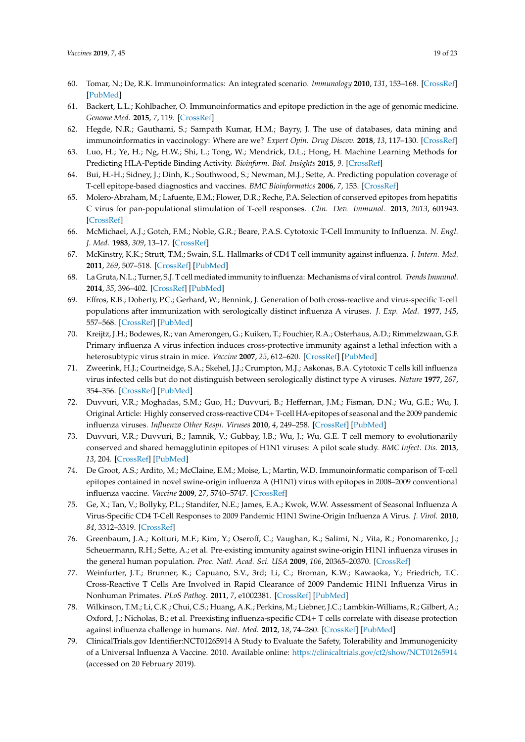- 60. Tomar, N.; De, R.K. Immunoinformatics: An integrated scenario. *Immunology* **2010**, *131*, 153–168. [\[CrossRef\]](http://dx.doi.org/10.1111/j.1365-2567.2010.03330.x) [\[PubMed\]](http://www.ncbi.nlm.nih.gov/pubmed/20722763)
- 61. Backert, L.L.; Kohlbacher, O. Immunoinformatics and epitope prediction in the age of genomic medicine. *Genome Med.* **2015**, *7*, 119. [\[CrossRef\]](http://dx.doi.org/10.1186/s13073-015-0245-0)
- <span id="page-18-0"></span>62. Hegde, N.R.; Gauthami, S.; Sampath Kumar, H.M.; Bayry, J. The use of databases, data mining and immunoinformatics in vaccinology: Where are we? *Expert Opin. Drug Discov.* **2018**, *13*, 117–130. [\[CrossRef\]](http://dx.doi.org/10.1080/17460441.2018.1413088)
- <span id="page-18-1"></span>63. Luo, H.; Ye, H.; Ng, H.W.; Shi, L.; Tong, W.; Mendrick, D.L.; Hong, H. Machine Learning Methods for Predicting HLA-Peptide Binding Activity. *Bioinform. Biol. Insights* **2015**, *9*. [\[CrossRef\]](http://dx.doi.org/10.4137/BBI.S29466)
- <span id="page-18-2"></span>64. Bui, H.-H.; Sidney, J.; Dinh, K.; Southwood, S.; Newman, M.J.; Sette, A. Predicting population coverage of T-cell epitope-based diagnostics and vaccines. *BMC Bioinformatics* **2006**, *7*, 153. [\[CrossRef\]](http://dx.doi.org/10.1186/1471-2105-7-153)
- <span id="page-18-3"></span>65. Molero-Abraham, M.; Lafuente, E.M.; Flower, D.R.; Reche, P.A. Selection of conserved epitopes from hepatitis C virus for pan-populational stimulation of T-cell responses. *Clin. Dev. Immunol.* **2013**, *2013*, 601943. [\[CrossRef\]](http://dx.doi.org/10.1155/2013/601943)
- <span id="page-18-4"></span>66. McMichael, A.J.; Gotch, F.M.; Noble, G.R.; Beare, P.A.S. Cytotoxic T-Cell Immunity to Influenza. *N. Engl. J. Med.* **1983**, *309*, 13–17. [\[CrossRef\]](http://dx.doi.org/10.1056/NEJM198307073090103)
- 67. McKinstry, K.K.; Strutt, T.M.; Swain, S.L. Hallmarks of CD4 T cell immunity against influenza. *J. Intern. Med.* **2011**, *269*, 507–518. [\[CrossRef\]](http://dx.doi.org/10.1111/j.1365-2796.2011.02367.x) [\[PubMed\]](http://www.ncbi.nlm.nih.gov/pubmed/21362069)
- <span id="page-18-5"></span>68. La Gruta, N.L.; Turner, S.J. T cell mediated immunity to influenza: Mechanisms of viral control. *Trends Immunol.* **2014**, *35*, 396–402. [\[CrossRef\]](http://dx.doi.org/10.1016/j.it.2014.06.004) [\[PubMed\]](http://www.ncbi.nlm.nih.gov/pubmed/25043801)
- <span id="page-18-6"></span>69. Effros, R.B.; Doherty, P.C.; Gerhard, W.; Bennink, J. Generation of both cross-reactive and virus-specific T-cell populations after immunization with serologically distinct influenza A viruses. *J. Exp. Med.* **1977**, *145*, 557–568. [\[CrossRef\]](http://dx.doi.org/10.1084/jem.145.3.557) [\[PubMed\]](http://www.ncbi.nlm.nih.gov/pubmed/233901)
- 70. Kreijtz, J.H.; Bodewes, R.; van Amerongen, G.; Kuiken, T.; Fouchier, R.A.; Osterhaus, A.D.; Rimmelzwaan, G.F. Primary influenza A virus infection induces cross-protective immunity against a lethal infection with a heterosubtypic virus strain in mice. *Vaccine* **2007**, *25*, 612–620. [\[CrossRef\]](http://dx.doi.org/10.1016/j.vaccine.2006.08.036) [\[PubMed\]](http://www.ncbi.nlm.nih.gov/pubmed/17005299)
- <span id="page-18-7"></span>71. Zweerink, H.J.; Courtneidge, S.A.; Skehel, J.J.; Crumpton, M.J.; Askonas, B.A. Cytotoxic T cells kill influenza virus infected cells but do not distinguish between serologically distinct type A viruses. *Nature* **1977**, *267*, 354–356. [\[CrossRef\]](http://dx.doi.org/10.1038/267354a0) [\[PubMed\]](http://www.ncbi.nlm.nih.gov/pubmed/194164)
- <span id="page-18-8"></span>72. Duvvuri, V.R.; Moghadas, S.M.; Guo, H.; Duvvuri, B.; Heffernan, J.M.; Fisman, D.N.; Wu, G.E.; Wu, J. Original Article: Highly conserved cross-reactive CD4+ T-cell HA-epitopes of seasonal and the 2009 pandemic influenza viruses. *Influenza Other Respi. Viruses* **2010**, *4*, 249–258. [\[CrossRef\]](http://dx.doi.org/10.1111/j.1750-2659.2010.00161.x) [\[PubMed\]](http://www.ncbi.nlm.nih.gov/pubmed/20716156)
- 73. Duvvuri, V.R.; Duvvuri, B.; Jamnik, V.; Gubbay, J.B.; Wu, J.; Wu, G.E. T cell memory to evolutionarily conserved and shared hemagglutinin epitopes of H1N1 viruses: A pilot scale study. *BMC Infect. Dis.* **2013**, *13*, 204. [\[CrossRef\]](http://dx.doi.org/10.1186/1471-2334-13-204) [\[PubMed\]](http://www.ncbi.nlm.nih.gov/pubmed/23641949)
- 74. De Groot, A.S.; Ardito, M.; McClaine, E.M.; Moise, L.; Martin, W.D. Immunoinformatic comparison of T-cell epitopes contained in novel swine-origin influenza A (H1N1) virus with epitopes in 2008–2009 conventional influenza vaccine. *Vaccine* **2009**, *27*, 5740–5747. [\[CrossRef\]](http://dx.doi.org/10.1016/j.vaccine.2009.07.040)
- 75. Ge, X.; Tan, V.; Bollyky, P.L.; Standifer, N.E.; James, E.A.; Kwok, W.W. Assessment of Seasonal Influenza A Virus-Specific CD4 T-Cell Responses to 2009 Pandemic H1N1 Swine-Origin Influenza A Virus. *J. Virol.* **2010**, *84*, 3312–3319. [\[CrossRef\]](http://dx.doi.org/10.1128/JVI.02226-09)
- 76. Greenbaum, J.A.; Kotturi, M.F.; Kim, Y.; Oseroff, C.; Vaughan, K.; Salimi, N.; Vita, R.; Ponomarenko, J.; Scheuermann, R.H.; Sette, A.; et al. Pre-existing immunity against swine-origin H1N1 influenza viruses in the general human population. *Proc. Natl. Acad. Sci. USA* **2009**, *106*, 20365–20370. [\[CrossRef\]](http://dx.doi.org/10.1073/pnas.0911580106)
- 77. Weinfurter, J.T.; Brunner, K.; Capuano, S.V., 3rd; Li, C.; Broman, K.W.; Kawaoka, Y.; Friedrich, T.C. Cross-Reactive T Cells Are Involved in Rapid Clearance of 2009 Pandemic H1N1 Influenza Virus in Nonhuman Primates. *PLoS Pathog.* **2011**, *7*, e1002381. [\[CrossRef\]](http://dx.doi.org/10.1371/journal.ppat.1002381) [\[PubMed\]](http://www.ncbi.nlm.nih.gov/pubmed/22102819)
- <span id="page-18-9"></span>78. Wilkinson, T.M.; Li, C.K.; Chui, C.S.; Huang, A.K.; Perkins, M.; Liebner, J.C.; Lambkin-Williams, R.; Gilbert, A.; Oxford, J.; Nicholas, B.; et al. Preexisting influenza-specific CD4+ T cells correlate with disease protection against influenza challenge in humans. *Nat. Med.* **2012**, *18*, 74–280. [\[CrossRef\]](http://dx.doi.org/10.1038/nm.2612) [\[PubMed\]](http://www.ncbi.nlm.nih.gov/pubmed/22286307)
- <span id="page-18-10"></span>79. ClinicalTrials.gov Identifier:NCT01265914 A Study to Evaluate the Safety, Tolerability and Immunogenicity of a Universal Influenza A Vaccine. 2010. Available online: https://[clinicaltrials.gov](https://clinicaltrials.gov/ct2/show/NCT01265914)/ct2/show/NCT01265914 (accessed on 20 February 2019).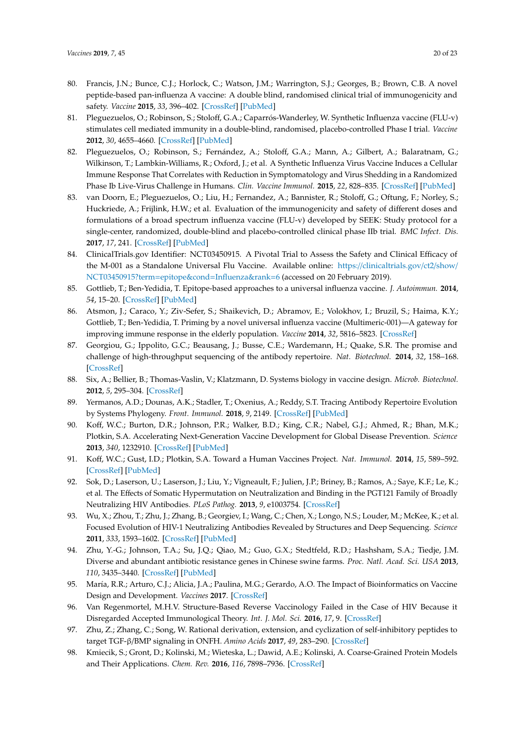- <span id="page-19-10"></span><span id="page-19-9"></span><span id="page-19-8"></span><span id="page-19-7"></span><span id="page-19-0"></span>80. Francis, J.N.; Bunce, C.J.; Horlock, C.; Watson, J.M.; Warrington, S.J.; Georges, B.; Brown, C.B. A novel peptide-based pan-influenza A vaccine: A double blind, randomised clinical trial of immunogenicity and safety. *Vaccine* **2015**, *33*, 396–402. [\[CrossRef\]](http://dx.doi.org/10.1016/j.vaccine.2014.06.006) [\[PubMed\]](http://www.ncbi.nlm.nih.gov/pubmed/24928790)
- <span id="page-19-1"></span>81. Pleguezuelos, O.; Robinson, S.; Stoloff, G.A.; Caparrós-Wanderley, W. Synthetic Influenza vaccine (FLU-v) stimulates cell mediated immunity in a double-blind, randomised, placebo-controlled Phase I trial. *Vaccine* **2012**, *30*, 4655–4660. [\[CrossRef\]](http://dx.doi.org/10.1016/j.vaccine.2012.04.089) [\[PubMed\]](http://www.ncbi.nlm.nih.gov/pubmed/22575166)
- <span id="page-19-2"></span>82. Pleguezuelos, O.; Robinson, S.; Fernández, A.; Stoloff, G.A.; Mann, A.; Gilbert, A.; Balaratnam, G.; Wilkinson, T.; Lambkin-Williams, R.; Oxford, J.; et al. A Synthetic Influenza Virus Vaccine Induces a Cellular Immune Response That Correlates with Reduction in Symptomatology and Virus Shedding in a Randomized Phase Ib Live-Virus Challenge in Humans. *Clin. Vaccine Immunol.* **2015**, *22*, 828–835. [\[CrossRef\]](http://dx.doi.org/10.1128/CVI.00098-15) [\[PubMed\]](http://www.ncbi.nlm.nih.gov/pubmed/25994549)
- <span id="page-19-3"></span>83. van Doorn, E.; Pleguezuelos, O.; Liu, H.; Fernandez, A.; Bannister, R.; Stoloff, G.; Oftung, F.; Norley, S.; Huckriede, A.; Frijlink, H.W.; et al. Evaluation of the immunogenicity and safety of different doses and formulations of a broad spectrum influenza vaccine (FLU-v) developed by SEEK: Study protocol for a single-center, randomized, double-blind and placebo-controlled clinical phase IIb trial. *BMC Infect. Dis.* **2017**, *17*, 241. [\[CrossRef\]](http://dx.doi.org/10.1186/s12879-017-2341-9) [\[PubMed\]](http://www.ncbi.nlm.nih.gov/pubmed/28376743)
- <span id="page-19-4"></span>84. ClinicalTrials.gov Identifier: NCT03450915. A Pivotal Trial to Assess the Safety and Clinical Efficacy of the M-001 as a Standalone Universal Flu Vaccine. Available online: https://[clinicaltrials.gov](https://clinicaltrials.gov/ct2/show/NCT03450915?term=epitope&cond=Influenza&rank=6)/ct2/show/ [NCT03450915?term](https://clinicaltrials.gov/ct2/show/NCT03450915?term=epitope&cond=Influenza&rank=6)=epitope&cond=Influenza&rank=6 (accessed on 20 February 2019).
- <span id="page-19-5"></span>85. Gottlieb, T.; Ben-Yedidia, T. Epitope-based approaches to a universal influenza vaccine. *J. Autoimmun.* **2014**, *54*, 15–20. [\[CrossRef\]](http://dx.doi.org/10.1016/j.jaut.2014.07.005) [\[PubMed\]](http://www.ncbi.nlm.nih.gov/pubmed/25172355)
- <span id="page-19-6"></span>86. Atsmon, J.; Caraco, Y.; Ziv-Sefer, S.; Shaikevich, D.; Abramov, E.; Volokhov, I.; Bruzil, S.; Haima, K.Y.; Gottlieb, T.; Ben-Yedidia, T. Priming by a novel universal influenza vaccine (Multimeric-001)—A gateway for improving immune response in the elderly population. *Vaccine* **2014**, *32*, 5816–5823. [\[CrossRef\]](http://dx.doi.org/10.1016/j.vaccine.2014.08.031)
- <span id="page-19-11"></span>87. Georgiou, G.; Ippolito, G.C.; Beausang, J.; Busse, C.E.; Wardemann, H.; Quake, S.R. The promise and challenge of high-throughput sequencing of the antibody repertoire. *Nat. Biotechnol.* **2014**, *32*, 158–168. [\[CrossRef\]](http://dx.doi.org/10.1038/nbt.2782)
- 88. Six, A.; Bellier, B.; Thomas-Vaslin, V.; Klatzmann, D. Systems biology in vaccine design. *Microb. Biotechnol.* **2012**, *5*, 295–304. [\[CrossRef\]](http://dx.doi.org/10.1111/j.1751-7915.2011.00321.x)
- <span id="page-19-12"></span>89. Yermanos, A.D.; Dounas, A.K.; Stadler, T.; Oxenius, A.; Reddy, S.T. Tracing Antibody Repertoire Evolution by Systems Phylogeny. *Front. Immunol.* **2018**, *9*, 2149. [\[CrossRef\]](http://dx.doi.org/10.3389/fimmu.2018.02149) [\[PubMed\]](http://www.ncbi.nlm.nih.gov/pubmed/30333820)
- <span id="page-19-13"></span>90. Koff, W.C.; Burton, D.R.; Johnson, P.R.; Walker, B.D.; King, C.R.; Nabel, G.J.; Ahmed, R.; Bhan, M.K.; Plotkin, S.A. Accelerating Next-Generation Vaccine Development for Global Disease Prevention. *Science* **2013**, *340*, 1232910. [\[CrossRef\]](http://dx.doi.org/10.1126/science.1232910) [\[PubMed\]](http://www.ncbi.nlm.nih.gov/pubmed/23723240)
- <span id="page-19-14"></span>91. Koff, W.C.; Gust, I.D.; Plotkin, S.A. Toward a Human Vaccines Project. *Nat. Immunol.* **2014**, *15*, 589–592. [\[CrossRef\]](http://dx.doi.org/10.1038/ni.2871) [\[PubMed\]](http://www.ncbi.nlm.nih.gov/pubmed/24940943)
- <span id="page-19-15"></span>92. Sok, D.; Laserson, U.; Laserson, J.; Liu, Y.; Vigneault, F.; Julien, J.P.; Briney, B.; Ramos, A.; Saye, K.F.; Le, K.; et al. The Effects of Somatic Hypermutation on Neutralization and Binding in the PGT121 Family of Broadly Neutralizing HIV Antibodies. *PLoS Pathog.* **2013**, *9*, e1003754. [\[CrossRef\]](http://dx.doi.org/10.1371/annotation/f1f8c791-61e9-45c6-a455-92c6dadf9f06)
- <span id="page-19-16"></span>93. Wu, X.; Zhou, T.; Zhu, J.; Zhang, B.; Georgiev, I.; Wang, C.; Chen, X.; Longo, N.S.; Louder, M.; McKee, K.; et al. Focused Evolution of HIV-1 Neutralizing Antibodies Revealed by Structures and Deep Sequencing. *Science* **2011**, *333*, 1593–1602. [\[CrossRef\]](http://dx.doi.org/10.1126/science.1207532) [\[PubMed\]](http://www.ncbi.nlm.nih.gov/pubmed/21835983)
- <span id="page-19-17"></span>94. Zhu, Y.-G.; Johnson, T.A.; Su, J.Q.; Qiao, M.; Guo, G.X.; Stedtfeld, R.D.; Hashsham, S.A.; Tiedje, J.M. Diverse and abundant antibiotic resistance genes in Chinese swine farms. *Proc. Natl. Acad. Sci. USA* **2013**, *110*, 3435–3440. [\[CrossRef\]](http://dx.doi.org/10.1073/pnas.1222743110) [\[PubMed\]](http://www.ncbi.nlm.nih.gov/pubmed/23401528)
- <span id="page-19-18"></span>95. María, R.R.; Arturo, C.J.; Alicia, J.A.; Paulina, M.G.; Gerardo, A.O. The Impact of Bioinformatics on Vaccine Design and Development. *Vaccines* **2017**. [\[CrossRef\]](http://dx.doi.org/10.5772/intechopen.69273)
- <span id="page-19-19"></span>96. Van Regenmortel, M.H.V. Structure-Based Reverse Vaccinology Failed in the Case of HIV Because it Disregarded Accepted Immunological Theory. *Int. J. Mol. Sci.* **2016**, *17*, 9. [\[CrossRef\]](http://dx.doi.org/10.3390/ijms17091591)
- <span id="page-19-20"></span>97. Zhu, Z.; Zhang, C.; Song, W. Rational derivation, extension, and cyclization of self-inhibitory peptides to target TGF-β/BMP signaling in ONFH. *Amino Acids* **2017**, *49*, 283–290. [\[CrossRef\]](http://dx.doi.org/10.1007/s00726-016-2358-1)
- <span id="page-19-21"></span>98. Kmiecik, S.; Gront, D.; Kolinski, M.; Wieteska, L.; Dawid, A.E.; Kolinski, A. Coarse-Grained Protein Models and Their Applications. *Chem. Rev.* **2016**, *116*, 7898–7936. [\[CrossRef\]](http://dx.doi.org/10.1021/acs.chemrev.6b00163)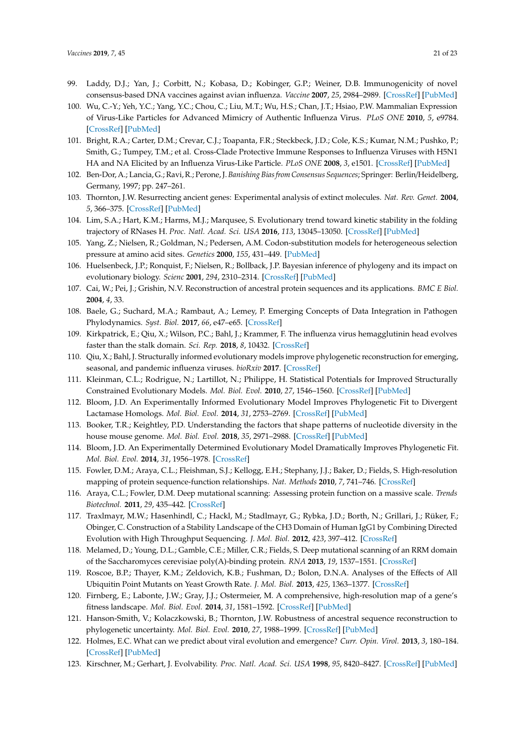- <span id="page-20-0"></span>99. Laddy, D.J.; Yan, J.; Corbitt, N.; Kobasa, D.; Kobinger, G.P.; Weiner, D.B. Immunogenicity of novel consensus-based DNA vaccines against avian influenza. *Vaccine* **2007**, *25*, 2984–2989. [\[CrossRef\]](http://dx.doi.org/10.1016/j.vaccine.2007.01.063) [\[PubMed\]](http://www.ncbi.nlm.nih.gov/pubmed/17306909)
- <span id="page-20-1"></span>100. Wu, C.-Y.; Yeh, Y.C.; Yang, Y.C.; Chou, C.; Liu, M.T.; Wu, H.S.; Chan, J.T.; Hsiao, P.W. Mammalian Expression of Virus-Like Particles for Advanced Mimicry of Authentic Influenza Virus. *PLoS ONE* **2010**, *5*, e9784. [\[CrossRef\]](http://dx.doi.org/10.1371/journal.pone.0009784) [\[PubMed\]](http://www.ncbi.nlm.nih.gov/pubmed/20339535)
- <span id="page-20-2"></span>101. Bright, R.A.; Carter, D.M.; Crevar, C.J.; Toapanta, F.R.; Steckbeck, J.D.; Cole, K.S.; Kumar, N.M.; Pushko, P.; Smith, G.; Tumpey, T.M.; et al. Cross-Clade Protective Immune Responses to Influenza Viruses with H5N1 HA and NA Elicited by an Influenza Virus-Like Particle. *PLoS ONE* **2008**, *3*, e1501. [\[CrossRef\]](http://dx.doi.org/10.1371/journal.pone.0001501) [\[PubMed\]](http://www.ncbi.nlm.nih.gov/pubmed/18231588)
- <span id="page-20-3"></span>102. Ben-Dor, A.; Lancia, G.; Ravi, R.; Perone, J. *Banishing Bias from Consensus Sequences*; Springer: Berlin/Heidelberg, Germany, 1997; pp. 247–261.
- <span id="page-20-4"></span>103. Thornton, J.W. Resurrecting ancient genes: Experimental analysis of extinct molecules. *Nat. Rev. Genet.* **2004**, *5*, 366–375. [\[CrossRef\]](http://dx.doi.org/10.1038/nrg1324) [\[PubMed\]](http://www.ncbi.nlm.nih.gov/pubmed/15143319)
- <span id="page-20-5"></span>104. Lim, S.A.; Hart, K.M.; Harms, M.J.; Marqusee, S. Evolutionary trend toward kinetic stability in the folding trajectory of RNases H. *Proc. Natl. Acad. Sci. USA* **2016**, *113*, 13045–13050. [\[CrossRef\]](http://dx.doi.org/10.1073/pnas.1611781113) [\[PubMed\]](http://www.ncbi.nlm.nih.gov/pubmed/27799545)
- <span id="page-20-6"></span>105. Yang, Z.; Nielsen, R.; Goldman, N.; Pedersen, A.M. Codon-substitution models for heterogeneous selection pressure at amino acid sites. *Genetics* **2000**, *155*, 431–449. [\[PubMed\]](http://www.ncbi.nlm.nih.gov/pubmed/10790415)
- <span id="page-20-7"></span>106. Huelsenbeck, J.P.; Ronquist, F.; Nielsen, R.; Bollback, J.P. Bayesian inference of phylogeny and its impact on evolutionary biology. *Scienc* **2001**, *294*, 2310–2314. [\[CrossRef\]](http://dx.doi.org/10.1126/science.1065889) [\[PubMed\]](http://www.ncbi.nlm.nih.gov/pubmed/11743192)
- <span id="page-20-8"></span>107. Cai, W.; Pei, J.; Grishin, N.V. Reconstruction of ancestral protein sequences and its applications. *BMC E Biol.* **2004**, *4*, 33.
- <span id="page-20-9"></span>108. Baele, G.; Suchard, M.A.; Rambaut, A.; Lemey, P. Emerging Concepts of Data Integration in Pathogen Phylodynamics. *Syst. Biol.* **2017**, *66*, e47–e65. [\[CrossRef\]](http://dx.doi.org/10.1093/sysbio/syw054)
- <span id="page-20-10"></span>109. Kirkpatrick, E.; Qiu, X.; Wilson, P.C.; Bahl, J.; Krammer, F. The influenza virus hemagglutinin head evolves faster than the stalk domain. *Sci. Rep.* **2018**, *8*, 10432. [\[CrossRef\]](http://dx.doi.org/10.1038/s41598-018-28706-1)
- <span id="page-20-11"></span>110. Qiu, X.; Bahl, J. Structurally informed evolutionary models improve phylogenetic reconstruction for emerging, seasonal, and pandemic influenza viruses. *bioRxiv* **2017**. [\[CrossRef\]](http://dx.doi.org/10.1101/228692)
- <span id="page-20-12"></span>111. Kleinman, C.L.; Rodrigue, N.; Lartillot, N.; Philippe, H. Statistical Potentials for Improved Structurally Constrained Evolutionary Models. *Mol. Biol. Evol.* **2010**, *27*, 1546–1560. [\[CrossRef\]](http://dx.doi.org/10.1093/molbev/msq047) [\[PubMed\]](http://www.ncbi.nlm.nih.gov/pubmed/20159780)
- <span id="page-20-13"></span>112. Bloom, J.D. An Experimentally Informed Evolutionary Model Improves Phylogenetic Fit to Divergent Lactamase Homologs. *Mol. Biol. Evol.* **2014**, *31*, 2753–2769. [\[CrossRef\]](http://dx.doi.org/10.1093/molbev/msu220) [\[PubMed\]](http://www.ncbi.nlm.nih.gov/pubmed/25063439)
- <span id="page-20-14"></span>113. Booker, T.R.; Keightley, P.D. Understanding the factors that shape patterns of nucleotide diversity in the house mouse genome. *Mol. Biol. Evol.* **2018**, *35*, 2971–2988. [\[CrossRef\]](http://dx.doi.org/10.1093/molbev/msy188) [\[PubMed\]](http://www.ncbi.nlm.nih.gov/pubmed/30295866)
- <span id="page-20-15"></span>114. Bloom, J.D. An Experimentally Determined Evolutionary Model Dramatically Improves Phylogenetic Fit. *Mol. Biol. Evol.* **2014**, *31*, 1956–1978. [\[CrossRef\]](http://dx.doi.org/10.1093/molbev/msu173)
- <span id="page-20-16"></span>115. Fowler, D.M.; Araya, C.L.; Fleishman, S.J.; Kellogg, E.H.; Stephany, J.J.; Baker, D.; Fields, S. High-resolution mapping of protein sequence-function relationships. *Nat. Methods* **2010**, *7*, 741–746. [\[CrossRef\]](http://dx.doi.org/10.1038/nmeth.1492)
- <span id="page-20-17"></span>116. Araya, C.L.; Fowler, D.M. Deep mutational scanning: Assessing protein function on a massive scale. *Trends Biotechnol.* **2011**, *29*, 435–442. [\[CrossRef\]](http://dx.doi.org/10.1016/j.tibtech.2011.04.003)
- <span id="page-20-18"></span>117. Traxlmayr, M.W.; Hasenhindl, C.; Hackl, M.; Stadlmayr, G.; Rybka, J.D.; Borth, N.; Grillari, J.; Rüker, F.; Obinger, C. Construction of a Stability Landscape of the CH3 Domain of Human IgG1 by Combining Directed Evolution with High Throughput Sequencing. *J. Mol. Biol.* **2012**, *423*, 397–412. [\[CrossRef\]](http://dx.doi.org/10.1016/j.jmb.2012.07.017)
- 118. Melamed, D.; Young, D.L.; Gamble, C.E.; Miller, C.R.; Fields, S. Deep mutational scanning of an RRM domain of the Saccharomyces cerevisiae poly(A)-binding protein. *RNA* **2013**, *19*, 1537–1551. [\[CrossRef\]](http://dx.doi.org/10.1261/rna.040709.113)
- 119. Roscoe, B.P.; Thayer, K.M.; Zeldovich, K.B.; Fushman, D.; Bolon, D.N.A. Analyses of the Effects of All Ubiquitin Point Mutants on Yeast Growth Rate. *J. Mol. Biol.* **2013**, *425*, 1363–1377. [\[CrossRef\]](http://dx.doi.org/10.1016/j.jmb.2013.01.032)
- <span id="page-20-19"></span>120. Firnberg, E.; Labonte, J.W.; Gray, J.J.; Ostermeier, M. A comprehensive, high-resolution map of a gene's fitness landscape. *Mol. Biol. Evol.* **2014**, *31*, 1581–1592. [\[CrossRef\]](http://dx.doi.org/10.1093/molbev/msu081) [\[PubMed\]](http://www.ncbi.nlm.nih.gov/pubmed/24567513)
- <span id="page-20-20"></span>121. Hanson-Smith, V.; Kolaczkowski, B.; Thornton, J.W. Robustness of ancestral sequence reconstruction to phylogenetic uncertainty. *Mol. Biol. Evol.* **2010**, *27*, 1988–1999. [\[CrossRef\]](http://dx.doi.org/10.1093/molbev/msq081) [\[PubMed\]](http://www.ncbi.nlm.nih.gov/pubmed/20368266)
- <span id="page-20-21"></span>122. Holmes, E.C. What can we predict about viral evolution and emergence? *Curr. Opin. Virol.* **2013**, *3*, 180–184. [\[CrossRef\]](http://dx.doi.org/10.1016/j.coviro.2012.12.003) [\[PubMed\]](http://www.ncbi.nlm.nih.gov/pubmed/23273851)
- <span id="page-20-22"></span>123. Kirschner, M.; Gerhart, J. Evolvability. *Proc. Natl. Acad. Sci. USA* **1998**, *95*, 8420–8427. [\[CrossRef\]](http://dx.doi.org/10.1073/pnas.95.15.8420) [\[PubMed\]](http://www.ncbi.nlm.nih.gov/pubmed/9671692)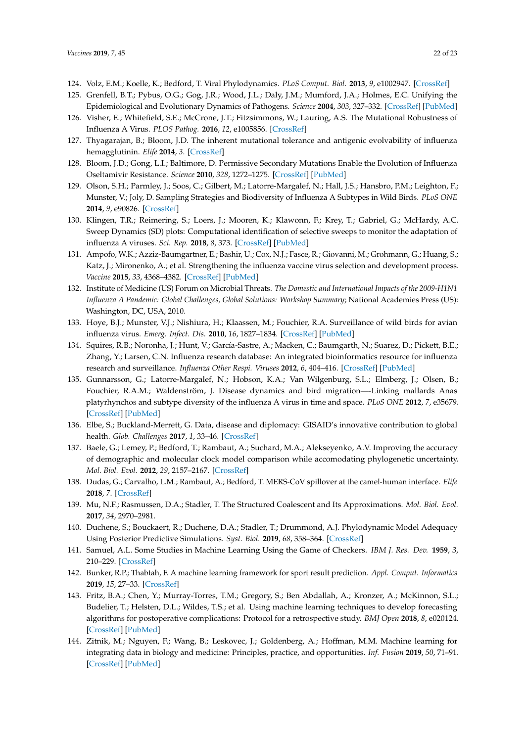- <span id="page-21-0"></span>124. Volz, E.M.; Koelle, K.; Bedford, T. Viral Phylodynamics. *PLoS Comput. Biol.* **2013**, *9*, e1002947. [\[CrossRef\]](http://dx.doi.org/10.1371/journal.pcbi.1002947)
- <span id="page-21-1"></span>125. Grenfell, B.T.; Pybus, O.G.; Gog, J.R.; Wood, J.L.; Daly, J.M.; Mumford, J.A.; Holmes, E.C. Unifying the Epidemiological and Evolutionary Dynamics of Pathogens. *Science* **2004**, *303*, 327–332. [\[CrossRef\]](http://dx.doi.org/10.1126/science.1090727) [\[PubMed\]](http://www.ncbi.nlm.nih.gov/pubmed/14726583)
- <span id="page-21-2"></span>126. Visher, E.; Whitefield, S.E.; McCrone, J.T.; Fitzsimmons, W.; Lauring, A.S. The Mutational Robustness of Influenza A Virus. *PLOS Pathog.* **2016**, *12*, e1005856. [\[CrossRef\]](http://dx.doi.org/10.1371/journal.ppat.1005856)
- <span id="page-21-3"></span>127. Thyagarajan, B.; Bloom, J.D. The inherent mutational tolerance and antigenic evolvability of influenza hemagglutinin. *Elife* **2014**, *3*. [\[CrossRef\]](http://dx.doi.org/10.7554/eLife.03300)
- <span id="page-21-4"></span>128. Bloom, J.D.; Gong, L.I.; Baltimore, D. Permissive Secondary Mutations Enable the Evolution of Influenza Oseltamivir Resistance. *Science* **2010**, *328*, 1272–1275. [\[CrossRef\]](http://dx.doi.org/10.1126/science.1187816) [\[PubMed\]](http://www.ncbi.nlm.nih.gov/pubmed/20522774)
- <span id="page-21-5"></span>129. Olson, S.H.; Parmley, J.; Soos, C.; Gilbert, M.; Latorre-Margalef, N.; Hall, J.S.; Hansbro, P.M.; Leighton, F.; Munster, V.; Joly, D. Sampling Strategies and Biodiversity of Influenza A Subtypes in Wild Birds. *PLoS ONE* **2014**, *9*, e90826. [\[CrossRef\]](http://dx.doi.org/10.1371/journal.pone.0090826)
- <span id="page-21-6"></span>130. Klingen, T.R.; Reimering, S.; Loers, J.; Mooren, K.; Klawonn, F.; Krey, T.; Gabriel, G.; McHardy, A.C. Sweep Dynamics (SD) plots: Computational identification of selective sweeps to monitor the adaptation of influenza A viruses. *Sci. Rep.* **2018**, *8*, 373. [\[CrossRef\]](http://dx.doi.org/10.1038/s41598-017-18791-z) [\[PubMed\]](http://www.ncbi.nlm.nih.gov/pubmed/29321538)
- <span id="page-21-7"></span>131. Ampofo, W.K.; Azziz-Baumgartner, E.; Bashir, U.; Cox, N.J.; Fasce, R.; Giovanni, M.; Grohmann, G.; Huang, S.; Katz, J.; Mironenko, A.; et al. Strengthening the influenza vaccine virus selection and development process. *Vaccine* **2015**, *33*, 4368–4382. [\[CrossRef\]](http://dx.doi.org/10.1016/j.vaccine.2015.06.090) [\[PubMed\]](http://www.ncbi.nlm.nih.gov/pubmed/26148877)
- <span id="page-21-8"></span>132. Institute of Medicine (US) Forum on Microbial Threats. *The Domestic and International Impacts of the 2009-H1N1 Influenza A Pandemic: Global Challenges, Global Solutions: Workshop Summary*; National Academies Press (US): Washington, DC, USA, 2010.
- <span id="page-21-9"></span>133. Hoye, B.J.; Munster, V.J.; Nishiura, H.; Klaassen, M.; Fouchier, R.A. Surveillance of wild birds for avian influenza virus. *Emerg. Infect. Dis.* **2010**, *16*, 1827–1834. [\[CrossRef\]](http://dx.doi.org/10.3201/eid1612.100589) [\[PubMed\]](http://www.ncbi.nlm.nih.gov/pubmed/21122209)
- <span id="page-21-10"></span>134. Squires, R.B.; Noronha, J.; Hunt, V.; García-Sastre, A.; Macken, C.; Baumgarth, N.; Suarez, D.; Pickett, B.E.; Zhang, Y.; Larsen, C.N. Influenza research database: An integrated bioinformatics resource for influenza research and surveillance. *Influenza Other Respi. Viruses* **2012**, *6*, 404–416. [\[CrossRef\]](http://dx.doi.org/10.1111/j.1750-2659.2011.00331.x) [\[PubMed\]](http://www.ncbi.nlm.nih.gov/pubmed/22260278)
- <span id="page-21-11"></span>135. Gunnarsson, G.; Latorre-Margalef, N.; Hobson, K.A.; Van Wilgenburg, S.L.; Elmberg, J.; Olsen, B.; Fouchier, R.A.M.; Waldenström, J. Disease dynamics and bird migration—-Linking mallards Anas platyrhynchos and subtype diversity of the influenza A virus in time and space. *PLoS ONE* **2012**, *7*, e35679. [\[CrossRef\]](http://dx.doi.org/10.1371/journal.pone.0035679) [\[PubMed\]](http://www.ncbi.nlm.nih.gov/pubmed/22536424)
- <span id="page-21-12"></span>136. Elbe, S.; Buckland-Merrett, G. Data, disease and diplomacy: GISAID's innovative contribution to global health. *Glob. Challenges* **2017**, *1*, 33–46. [\[CrossRef\]](http://dx.doi.org/10.1002/gch2.1018)
- <span id="page-21-13"></span>137. Baele, G.; Lemey, P.; Bedford, T.; Rambaut, A.; Suchard, M.A.; Alekseyenko, A.V. Improving the accuracy of demographic and molecular clock model comparison while accomodating phylogenetic uncertainty. *Mol. Biol. Evol.* **2012**, *29*, 2157–2167. [\[CrossRef\]](http://dx.doi.org/10.1093/molbev/mss084)
- <span id="page-21-14"></span>138. Dudas, G.; Carvalho, L.M.; Rambaut, A.; Bedford, T. MERS-CoV spillover at the camel-human interface. *Elife* **2018**, *7*. [\[CrossRef\]](http://dx.doi.org/10.7554/eLife.31257)
- <span id="page-21-15"></span>139. Mu, N.F.; Rasmussen, D.A.; Stadler, T. The Structured Coalescent and Its Approximations. *Mol. Biol. Evol.* **2017**, *34*, 2970–2981.
- <span id="page-21-16"></span>140. Duchene, S.; Bouckaert, R.; Duchene, D.A.; Stadler, T.; Drummond, A.J. Phylodynamic Model Adequacy Using Posterior Predictive Simulations. *Syst. Biol.* **2019**, *68*, 358–364. [\[CrossRef\]](http://dx.doi.org/10.1093/sysbio/syy048)
- <span id="page-21-17"></span>141. Samuel, A.L. Some Studies in Machine Learning Using the Game of Checkers. *IBM J. Res. Dev.* **1959**, *3*, 210–229. [\[CrossRef\]](http://dx.doi.org/10.1147/rd.33.0210)
- <span id="page-21-18"></span>142. Bunker, R.P.; Thabtah, F. A machine learning framework for sport result prediction. *Appl. Comput. Informatics* **2019**, *15*, 27–33. [\[CrossRef\]](http://dx.doi.org/10.1016/j.aci.2017.09.005)
- 143. Fritz, B.A.; Chen, Y.; Murray-Torres, T.M.; Gregory, S.; Ben Abdallah, A.; Kronzer, A.; McKinnon, S.L.; Budelier, T.; Helsten, D.L.; Wildes, T.S.; et al. Using machine learning techniques to develop forecasting algorithms for postoperative complications: Protocol for a retrospective study. *BMJ Open* **2018**, *8*, e020124. [\[CrossRef\]](http://dx.doi.org/10.1136/bmjopen-2017-020124) [\[PubMed\]](http://www.ncbi.nlm.nih.gov/pubmed/29643160)
- <span id="page-21-19"></span>144. Zitnik, M.; Nguyen, F.; Wang, B.; Leskovec, J.; Goldenberg, A.; Hoffman, M.M. Machine learning for integrating data in biology and medicine: Principles, practice, and opportunities. *Inf. Fusion* **2019**, *50*, 71–91. [\[CrossRef\]](http://dx.doi.org/10.1016/j.inffus.2018.09.012) [\[PubMed\]](http://www.ncbi.nlm.nih.gov/pubmed/30467459)